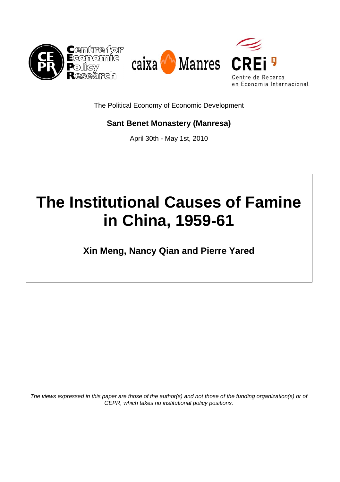

The Political Economy of Economic Development

## **Sant Benet Monastery (Manresa)**

April 30th - May 1st, 2010

# **The Institutional Causes of Famine in China, 1959-61**

**Xin Meng, Nancy Qian and Pierre Yared** 

*The views expressed in this paper are those of the author(s) and not those of the funding organization(s) or of CEPR, which takes no institutional policy positions.*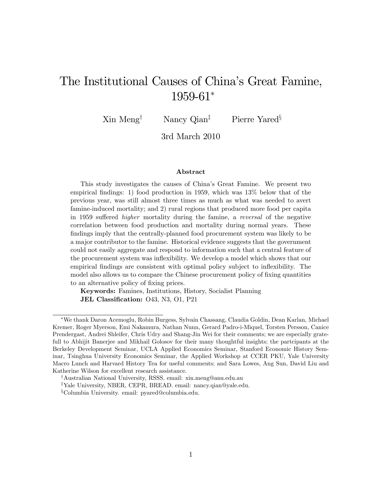## The Institutional Causes of China's Great Famine,  $1959-61*$

 $\text{Xin } \text{Meng}^{\dagger}$  Nancy Qian<sup>‡</sup> Pierre Yared<sup>§</sup>

3rd March 2010

#### Abstract

This study investigates the causes of Chinaís Great Famine. We present two empirical findings: 1) food production in 1959, which was  $13\%$  below that of the previous year, was still almost three times as much as what was needed to avert famine-induced mortality; and 2) rural regions that produced more food per capita in 1959 suffered *higher* mortality during the famine, a reversal of the negative correlation between food production and mortality during normal years. These findings imply that the centrally-planned food procurement system was likely to be a major contributor to the famine. Historical evidence suggests that the government could not easily aggregate and respond to information such that a central feature of the procurement system was ináexibility. We develop a model which shows that our empirical findings are consistent with optimal policy subject to inflexibility. The model also allows us to compare the Chinese procurement policy of fixing quantities to an alternative policy of fixing prices.

Keywords: Famines, Institutions, History, Socialist Planning JEL Classification: 043, N3, 01, P21

We thank Daron Acemoglu, Robin Burgess, Sylvain Chassang, Claudia Goldin, Dean Karlan, Michael Kremer, Roger Myerson, Emi Nakamura, Nathan Nunn, Gerard Padro-i-Miquel, Torsten Persson, Canice Prendergast, Andrei Shleifer, Chris Udry and Shang-Jin Wei for their comments; we are especially gratefull to Abhijit Banerjee and Mikhail Golosov for their many thoughtful insights; the partcipants at the Berkeley Development Seminar, UCLA Applied Economics Seminar, Stanford Economic History Seminar, Tsinghua University Economics Seminar, the Applied Workshop at CCER PKU, Yale University Macro Lunch and Harvard History Tea for useful comments; and Sara Lowes, Ang Sun, David Liu and Katherine Wilson for excellent research assistance.

<sup>&</sup>lt;sup>†</sup>Australian National University, RSSS. email: xin.meng@anu.edu.au

<sup>&</sup>lt;sup>‡</sup>Yale University, NBER, CEPR, BREAD. email: nancy.qian@yale.edu.

 $\S$ Columbia University. email: pyared@columbia.edu.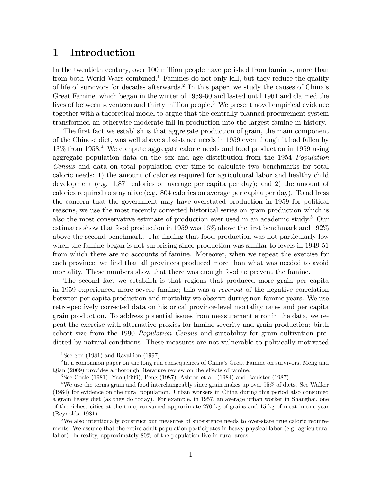## 1 Introduction

In the twentieth century, over 100 million people have perished from famines, more than from both World Wars combined.<sup>1</sup> Famines do not only kill, but they reduce the quality of life of survivors for decades afterwards.<sup>2</sup> In this paper, we study the causes of China's Great Famine, which began in the winter of 1959-60 and lasted until 1961 and claimed the lives of between seventeen and thirty million people.<sup>3</sup> We present novel empirical evidence together with a theoretical model to argue that the centrally-planned procurement system transformed an otherwise moderate fall in production into the largest famine in history.

The first fact we establish is that aggregate production of grain, the main component of the Chinese diet, was well above subsistence needs in 1959 even though it had fallen by 13% from 1958.<sup>4</sup> We compute aggregate caloric needs and food production in 1959 using aggregate population data on the sex and age distribution from the 1954 Population Census and data on total population over time to calculate two benchmarks for total caloric needs: 1) the amount of calories required for agricultural labor and healthy child development (e.g. 1,871 calories on average per capita per day); and 2) the amount of calories required to stay alive (e.g. 804 calories on average per capita per day). To address the concern that the government may have overstated production in 1959 for political reasons, we use the most recently corrected historical series on grain production which is also the most conservative estimate of production ever used in an academic study.<sup>5</sup> Our estimates show that food production in 1959 was  $16\%$  above the first benchmark and  $192\%$ above the second benchmark. The finding that food production was not particularly low when the famine began is not surprising since production was similar to levels in 1949-51 from which there are no accounts of famine. Moreover, when we repeat the exercise for each province, we find that all provinces produced more than what was needed to avoid mortality. These numbers show that there was enough food to prevent the famine.

The second fact we establish is that regions that produced more grain per capita in 1959 experienced more severe famine; this was a reversal of the negative correlation between per capita production and mortality we observe during non-famine years. We use retrospectively corrected data on historical province-level mortality rates and per capita grain production. To address potential issues from measurement error in the data, we repeat the exercise with alternative proxies for famine severity and grain production: birth cohort size from the 1990 Population Census and suitability for grain cultivation predicted by natural conditions. These measures are not vulnerable to politically-motivated

<sup>&</sup>lt;sup>1</sup>See Sen (1981) and Ravallion (1997).

 $^{2}$ In a companion paper on the long run consequences of China's Great Famine on survivors, Meng and  $Qian$  (2009) provides a thorough literature review on the effects of famine.

<sup>&</sup>lt;sup>3</sup>See Coale (1981), Yao (1999), Peng (1987), Ashton et al. (1984) and Banister (1987).

<sup>4</sup>We use the terms grain and food interchangeably since grain makes up over 95% of diets. See Walker (1984) for evidence on the rural population. Urban workers in China during this period also consumed a grain heavy diet (as they do today). For example, in 1957, an average urban worker in Shanghai, one of the richest cities at the time, consumed approximate 270 kg of grains and 15 kg of meat in one year (Reynolds, 1981).

<sup>&</sup>lt;sup>5</sup>We also intentionally construct our measures of subsistence needs to over-state true caloric requirements. We assume that the entire adult population participates in heavy physical labor (e.g. agricultural labor). In reality, approximately 80% of the population live in rural areas.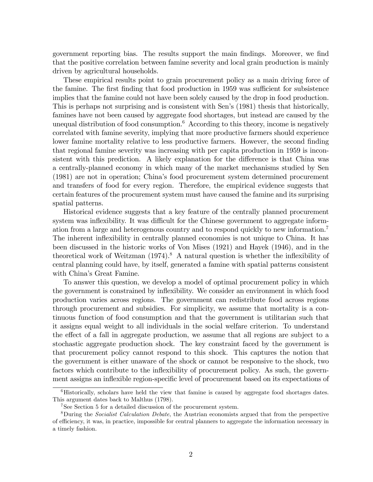government reporting bias. The results support the main Öndings. Moreover, we Önd that the positive correlation between famine severity and local grain production is mainly driven by agricultural households.

These empirical results point to grain procurement policy as a main driving force of the famine. The first finding that food production in 1959 was sufficient for subsistence implies that the famine could not have been solely caused by the drop in food production. This is perhaps not surprising and is consistent with Sen's (1981) thesis that historically, famines have not been caused by aggregate food shortages, but instead are caused by the unequal distribution of food consumption.<sup>6</sup> According to this theory, income is negatively correlated with famine severity, implying that more productive farmers should experience lower famine mortality relative to less productive farmers. However, the second finding that regional famine severity was increasing with per capita production in 1959 is inconsistent with this prediction. A likely explanation for the difference is that China was a centrally-planned economy in which many of the market mechanisms studied by Sen (1981) are not in operation; Chinaís food procurement system determined procurement and transfers of food for every region. Therefore, the empirical evidence suggests that certain features of the procurement system must have caused the famine and its surprising spatial patterns.

Historical evidence suggests that a key feature of the centrally planned procurement system was inflexibility. It was difficult for the Chinese government to aggregate information from a large and heterogenous country and to respond quickly to new information.<sup>7</sup> The inherent inflexibility in centrally planned economies is not unique to China. It has been discussed in the historic works of Von Mises (1921) and Hayek (1946), and in the theoretical work of Weitzman  $(1974)^8$  A natural question is whether the inflexibility of central planning could have, by itself, generated a famine with spatial patterns consistent with China's Great Famine.

To answer this question, we develop a model of optimal procurement policy in which the government is constrained by ináexibility. We consider an environment in which food production varies across regions. The government can redistribute food across regions through procurement and subsidies. For simplicity, we assume that mortality is a continuous function of food consumption and that the government is utilitarian such that it assigns equal weight to all individuals in the social welfare criterion. To understand the effect of a fall in aggregate production, we assume that all regions are subject to a stochastic aggregate production shock. The key constraint faced by the government is that procurement policy cannot respond to this shock. This captures the notion that the government is either unaware of the shock or cannot be responsive to the shock, two factors which contribute to the inflexibility of procurement policy. As such, the government assigns an inflexible region-specific level of procurement based on its expectations of

<sup>6</sup>Historically, scholars have held the view that famine is caused by aggregate food shortages dates. This argument dates back to Malthus (1798).

<sup>&</sup>lt;sup>7</sup>See Section 5 for a detailed discussion of the procurement system.

<sup>&</sup>lt;sup>8</sup>During the *Socialist Calculation Debate*, the Austrian economists argued that from the perspective of e¢ ciency, it was, in practice, impossible for central planners to aggregate the information necessary in a timely fashion.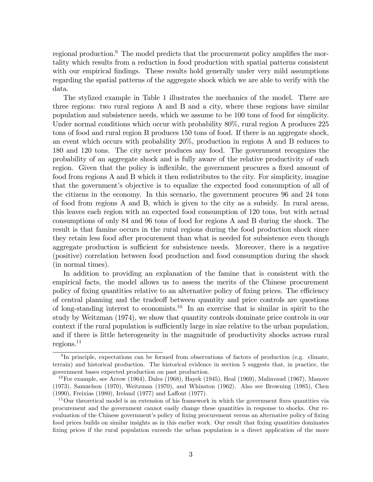regional production. $9$  The model predicts that the procurement policy amplifies the mortality which results from a reduction in food production with spatial patterns consistent with our empirical findings. These results hold generally under very mild assumptions regarding the spatial patterns of the aggregate shock which we are able to verify with the data.

The stylized example in Table 1 illustrates the mechanics of the model. There are three regions: two rural regions A and B and a city, where these regions have similar population and subsistence needs, which we assume to be 100 tons of food for simplicity. Under normal conditions which occur with probability 80%, rural region A produces 225 tons of food and rural region B produces 150 tons of food. If there is an aggregate shock, an event which occurs with probability 20%, production in regions A and B reduces to 180 and 120 tons. The city never produces any food. The government recognizes the probability of an aggregate shock and is fully aware of the relative productivity of each region. Given that the policy is inflexible, the government procures a fixed amount of food from regions A and B which it then redistributes to the city. For simplicity, imagine that the government's objective is to equalize the expected food consumption of all of the citizens in the economy. In this scenario, the government procures 96 and 24 tons of food from regions A and B, which is given to the city as a subsidy. In rural areas, this leaves each region with an expected food consumption of 120 tons, but with actual consumptions of only 84 and 96 tons of food for regions A and B during the shock. The result is that famine occurs in the rural regions during the food production shock since they retain less food after procurement than what is needed for subsistence even though aggregate production is sufficient for subsistence needs. Moreover, there is a negative (positive) correlation between food production and food consumption during the shock (in normal times).

In addition to providing an explanation of the famine that is consistent with the empirical facts, the model allows us to assess the merits of the Chinese procurement policy of fixing quantities relative to an alternative policy of fixing prices. The efficiency of central planning and the tradeoff between quantity and price controls are questions of long-standing interest to economists.<sup>10</sup> In an exercise that is similar in spirit to the study by Weitzman (1974), we show that quantity controls dominate price controls in our context if the rural population is sufficiently large in size relative to the urban population, and if there is little heterogeneity in the magnitude of productivity shocks across rural  $regions.<sup>11</sup>$ 

<sup>&</sup>lt;sup>9</sup>In principle, expectations can be formed from observations of factors of production (e.g. climate, terrain) and historical production. The historical evidence in section 5 suggests that, in practice, the government bases expected production on past production.

 $10$ For example, see Arrow (1964), Dales (1968), Hayek (1945), Heal (1969), Malinvaud (1967), Manove (1973), Samuelson (1970), Weitzman (1970), and Whinston (1962). Also see Browning (1985), Chen  $(1990)$ , Freixias  $(1980)$ , Ireland  $(1977)$  and Laffont  $(1977)$ .

 $11$ Our theoretical model is an extension of his framework in which the government fixes quantities via procurement and the government cannot easily change these quantities in response to shocks. Our reevaluation of the Chinese government's policy of fixing procurement versus an alternative policy of fixing food prices builds on similar insights as in this earlier work. Our result that fixing quantities dominates fixing prices if the rural population exceeds the urban population is a direct application of the more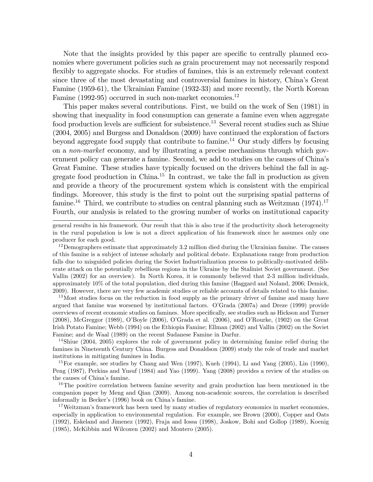Note that the insights provided by this paper are specific to centrally planned economies where government policies such as grain procurement may not necessarily respond flexibly to aggregate shocks. For studies of famines, this is an extremely relevant context since three of the most devastating and controversial famines in history, Chinaís Great Famine (1959-61), the Ukrainian Famine (1932-33) and more recently, the North Korean Famine (1992-95) occurred in such non-market economies.<sup>12</sup>

This paper makes several contributions. First, we build on the work of Sen (1981) in showing that inequality in food consumption can generate a famine even when aggregate food production levels are sufficient for subsistence.<sup>13</sup> Several recent studies such as Shiue (2004, 2005) and Burgess and Donaldson (2009) have continued the exploration of factors beyond aggregate food supply that contribute to famine.<sup>14</sup> Our study differs by focusing on a non-market economy, and by illustrating a precise mechanisms through which government policy can generate a famine. Second, we add to studies on the causes of China's Great Famine. These studies have typically focused on the drivers behind the fall in aggregate food production in China.<sup>15</sup> In contrast, we take the fall in production as given and provide a theory of the procurement system which is consistent with the empirical findings. Moreover, this study is the first to point out the surprising spatial patterns of famine.<sup>16</sup> Third, we contribute to studies on central planning such as Weitzman  $(1974)$ .<sup>17</sup> Fourth, our analysis is related to the growing number of works on institutional capacity

<sup>13</sup>Most studies focus on the reduction in food supply as the primary driver of famine and many have argued that famine was worsened by institutional factors. O'Grada (2007a) and Dreze (1999) provide overviews of recent economic studies on famines. More speciÖcally, see studies such as Hickson and Turner  $(2008)$ , McGreggor  $(1989)$ , O'Boyle  $(2006)$ , O'Grada et al.  $(2006)$ , and O'Rourke,  $(1902)$  on the Great Irish Potato Famine; Webb (1994) on the Ethiopia Famine; Ellman (2002) and Vallin (2002) on the Soviet Famine; and de Waal (1989) on the recent Sudanese Famine in Darfur.

<sup>14</sup>Shiue (2004, 2005) explores the role of government policy in determining famine relief during the famines in Nineteenth Century China. Burgess and Donaldson (2009) study the role of trade and market institutions in mitigating famines in India.

<sup>15</sup>For example, see studies by Chang and Wen  $(1997)$ , Kueh  $(1994)$ , Li and Yang  $(2005)$ , Lin  $(1990)$ , Peng (1987), Perkins and Yusuf (1984) and Yao (1999). Yang (2008) provides a review of the studies on the causes of China's famine.

<sup>16</sup>The positive correlation between famine severity and grain production has been mentioned in the companion paper by Meng and Qian (2009). Among non-academic sources, the correlation is described informally in Becker's (1996) book on China's famine.

<sup>17</sup>Weitzman's framework has been used by many studies of regulatory economics in market economies, especially in application to environmental regulation. For example, see Brown (2000), Copper and Oats (1992), Eskeland and Jimenez (1992), Fraja and Iossa (1998), Joskow, Bohi and Gollop (1989), Koenig (1985), McKibbin and Wilcoxen (2002) and Montero (2005).

general results in his framework. Our result that this is also true if the productivity shock heterogeneity in the rural population is low is not a direct application of his framework since he assumes only one producer for each good.

 $12$ Demographers estimate that approximately 3.2 million died during the Ukrainian famine. The causes of this famine is a subject of intense scholarly and political debate. Explanations range from production falls due to misguided policies during the Soviet Industrialization process to politically-motivated deliberate attack on the potentially rebellious regions in the Ukraine by the Stalinist Soviet government. (See Vallin (2002) for an overview). In North Korea, it is commonly believed that 2-3 million individuals, approximately 10% of the total population, died during this famine (Haggard and Noland, 2006; Demick, 2009). However, there are very few academic studies or reliable accounts of details related to this famine.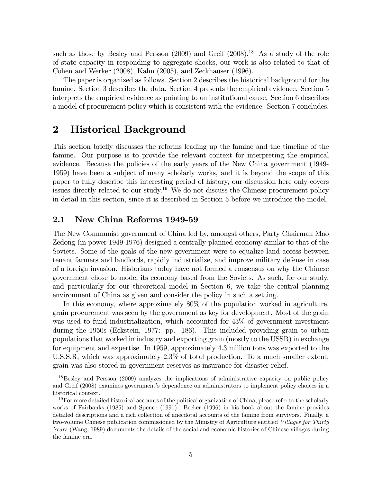such as those by Besley and Persson  $(2009)$  and Greif  $(2008)$ .<sup>18</sup> As a study of the role of state capacity in responding to aggregate shocks, our work is also related to that of Cohen and Werker (2008), Kahn (2005), and Zeckhauser (1996).

The paper is organized as follows. Section 2 describes the historical background for the famine. Section 3 describes the data. Section 4 presents the empirical evidence. Section 5 interprets the empirical evidence as pointing to an institutional cause. Section 6 describes a model of procurement policy which is consistent with the evidence. Section 7 concludes.

## 2 Historical Background

This section brieáy discusses the reforms leading up the famine and the timeline of the famine. Our purpose is to provide the relevant context for interpreting the empirical evidence. Because the policies of the early years of the New China government (1949- 1959) have been a subject of many scholarly works, and it is beyond the scope of this paper to fully describe this interesting period of history, our discussion here only covers issues directly related to our study.<sup>19</sup> We do not discuss the Chinese procurement policy in detail in this section, since it is described in Section 5 before we introduce the model.

#### 2.1 New China Reforms 1949-59

The New Communist government of China led by, amongst others, Party Chairman Mao Zedong (in power 1949-1976) designed a centrally-planned economy similar to that of the Soviets. Some of the goals of the new government were to equalize land access between tenant farmers and landlords, rapidly industrialize, and improve military defense in case of a foreign invasion. Historians today have not formed a consensus on why the Chinese government chose to model its economy based from the Soviets. As such, for our study, and particularly for our theoretical model in Section 6, we take the central planning environment of China as given and consider the policy in such a setting.

In this economy, where approximately 80% of the population worked in agriculture, grain procurement was seen by the government as key for development. Most of the grain was used to fund industrialization, which accounted for 43% of government investment during the 1950s (Eckstein, 1977: pp. 186). This included providing grain to urban populations that worked in industry and exporting grain (mostly to the USSR) in exchange for equipment and expertise. In 1959, approximately 4.3 million tons was exported to the U.S.S.R, which was approximately 2.3% of total production. To a much smaller extent, grain was also stored in government reserves as insurance for disaster relief.

<sup>&</sup>lt;sup>18</sup>Besley and Persson (2009) analyzes the implications of administrative capacity on public policy and Greif (2008) examines government's dependence on administrators to implement policy choices in a historical context.

 $19$ For more detailed historical accounts of the political organization of China, please refer to the scholarly works of Fairbanks (1985) and Spence (1991). Becker (1996) in his book about the famine provides detailed descriptions and a rich collection of anecdotal accounts of the famine from survivors. Finally, a two-volume Chinese publication commissioned by the Ministry of Agriculture entitled Villages for Thirty Years (Wang, 1989) documents the details of the social and economic histories of Chinese villages during the famine era.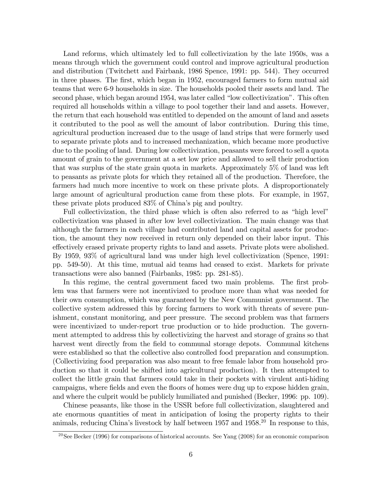Land reforms, which ultimately led to full collectivization by the late 1950s, was a means through which the government could control and improve agricultural production and distribution (Twitchett and Fairbank, 1986 Spence, 1991: pp. 544). They occurred in three phases. The first, which began in 1952, encouraged farmers to form mutual aid teams that were 6-9 households in size. The households pooled their assets and land. The second phase, which began around 1954, was later called "low collectivization". This often required all households within a village to pool together their land and assets. However, the return that each household was entitled to depended on the amount of land and assets it contributed to the pool as well the amount of labor contribution. During this time, agricultural production increased due to the usage of land strips that were formerly used to separate private plots and to increased mechanization, which became more productive due to the pooling of land. During low collectivization, peasants were forced to sell a quota amount of grain to the government at a set low price and allowed to sell their production that was surplus of the state grain quota in markets. Approximately 5% of land was left to peasants as private plots for which they retained all of the production. Therefore, the farmers had much more incentive to work on these private plots. A disproportionately large amount of agricultural production came from these plots. For example, in 1957, these private plots produced  $83\%$  of China's pig and poultry.

Full collectivization, the third phase which is often also referred to as "high level" collectivization was phased in after low level collectivization. The main change was that although the farmers in each village had contributed land and capital assets for production, the amount they now received in return only depended on their labor input. This effectively erased private property rights to land and assets. Private plots were abolished. By 1959, 93% of agricultural land was under high level collectivization (Spence, 1991: pp. 549-50). At this time, mutual aid teams had ceased to exist. Markets for private transactions were also banned (Fairbanks, 1985: pp. 281-85).

In this regime, the central government faced two main problems. The first problem was that farmers were not incentivized to produce more than what was needed for their own consumption, which was guaranteed by the New Communist government. The collective system addressed this by forcing farmers to work with threats of severe punishment, constant monitoring, and peer pressure. The second problem was that farmers were incentivized to under-report true production or to hide production. The government attempted to address this by collectivizing the harvest and storage of grains so that harvest went directly from the field to communal storage depots. Communal kitchens were established so that the collective also controlled food preparation and consumption. (Collectivizing food preparation was also meant to free female labor from household production so that it could be shifted into agricultural production). It then attempted to collect the little grain that farmers could take in their pockets with virulent anti-hiding campaigns, where fields and even the floors of homes were dug up to expose hidden grain, and where the culprit would be publicly humiliated and punished (Becker, 1996: pp. 109).

Chinese peasants, like those in the USSR before full collectivization, slaughtered and ate enormous quantities of meat in anticipation of losing the property rights to their animals, reducing China's livestock by half between  $1957$  and  $1958<sup>20</sup>$  In response to this,

<sup>&</sup>lt;sup>20</sup>See Becker (1996) for comparisons of historical accounts. See Yang (2008) for an economic comparison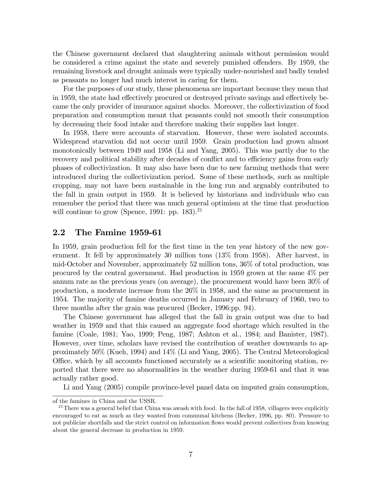the Chinese government declared that slaughtering animals without permission would be considered a crime against the state and severely punished offenders. By 1959, the remaining livestock and drought animals were typically under-nourished and badly tended as peasants no longer had much interest in caring for them.

For the purposes of our study, these phenomena are important because they mean that in 1959, the state had effectively procured or destroyed private savings and effectively became the only provider of insurance against shocks. Moreover, the collectivization of food preparation and consumption meant that peasants could not smooth their consumption by decreasing their food intake and therefore making their supplies last longer.

In 1958, there were accounts of starvation. However, these were isolated accounts. Widespread starvation did not occur until 1959. Grain production had grown almost monotonically between 1949 and 1958 (Li and Yang, 2005). This was partly due to the recovery and political stability after decades of conflict and to efficiency gains from early phases of collectivization. It may also have been due to new farming methods that were introduced during the collectivization period. Some of these methods, such as multiple cropping, may not have been sustainable in the long run and arguably contributed to the fall in grain output in 1959. It is believed by historians and individuals who can remember the period that there was much general optimism at the time that production will continue to grow (Spence, 1991: pp. 183).<sup>21</sup>

#### 2.2 The Famine 1959-61

In 1959, grain production fell for the first time in the ten year history of the new government. It fell by approximately 30 million tons (13% from 1958). After harvest, in mid-October and November, approximately 52 million tons, 36% of total production, was procured by the central government. Had production in 1959 grown at the same 4% per annum rate as the previous years (on average), the procurement would have been 30% of production, a moderate increase from the 26% in 1958, and the same as procurement in 1954. The majority of famine deaths occurred in January and February of 1960, two to three months after the grain was procured (Becker, 1996:pp. 94).

The Chinese government has alleged that the fall in grain output was due to bad weather in 1959 and that this caused an aggregate food shortage which resulted in the famine (Coale, 1981; Yao, 1999; Peng, 1987; Ashton et al., 1984; and Banister, 1987). However, over time, scholars have revised the contribution of weather downwards to approximately 50% (Kueh, 1994) and 14% (Li and Yang, 2005). The Central Meteorological Office, which by all accounts functioned accurately as a scientific monitoring station, reported that there were no abnormalities in the weather during 1959-61 and that it was actually rather good.

Li and Yang (2005) compile province-level panel data on imputed grain consumption,

of the famines in China and the USSR.

 $^{21}$ There was a general belief that China was awash with food. In the fall of 1958, villagers were explicitly encouraged to eat as much as they wanted from communal kitchens (Becker, 1996, pp. 80). Pressure to not publicize shortfalls and the strict control on information áows would prevent collectives from knowing about the general decrease in production in 1959.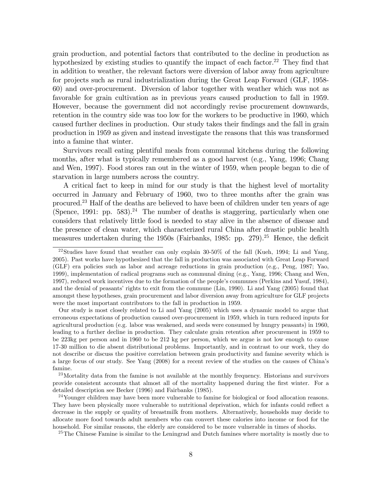grain production, and potential factors that contributed to the decline in production as hypothesized by existing studies to quantify the impact of each factor.<sup>22</sup> They find that in addition to weather, the relevant factors were diversion of labor away from agriculture for projects such as rural industrialization during the Great Leap Forward (GLF, 1958- 60) and over-procurement. Diversion of labor together with weather which was not as favorable for grain cultivation as in previous years caused production to fall in 1959. However, because the government did not accordingly revise procurement downwards, retention in the country side was too low for the workers to be productive in 1960, which caused further declines in production. Our study takes their Öndings and the fall in grain production in 1959 as given and instead investigate the reasons that this was transformed into a famine that winter.

Survivors recall eating plentiful meals from communal kitchens during the following months, after what is typically remembered as a good harvest (e.g., Yang, 1996; Chang and Wen, 1997). Food stores ran out in the winter of 1959, when people began to die of starvation in large numbers across the country.

A critical fact to keep in mind for our study is that the highest level of mortality occurred in January and February of 1960, two to three months after the grain was procured.<sup>23</sup> Half of the deaths are believed to have been of children under ten years of age (Spence, 1991: pp. 583).<sup>24</sup> The number of deaths is staggering, particularly when one considers that relatively little food is needed to stay alive in the absence of disease and the presence of clean water, which characterized rural China after drastic public health measures undertaken during the 1950s (Fairbanks, 1985: pp.  $279$ ).<sup>25</sup> Hence, the deficit

Our study is most closely related to Li and Yang (2005) which uses a dynamic model to argue that erroneous expectations of production caused over-procurement in 1959, which in turn reduced inputs for agricultural production (e.g. labor was weakened, and seeds were consumed by hungry peasants) in 1960, leading to a further decline in production. They calculate grain retention after procurement in 1959 to be 223kg per person and in 1960 to be 212 kg per person, which we argue is not low enough to cause 17-30 million to die absent distributional problems. Importantly, and in contrast to our work, they do not describe or discuss the positive correlation between grain productivity and famine severity which is a large focus of our study. See Yang (2008) for a recent review of the studies on the causes of Chinaís famine.

 $^{23}$ Mortality data from the famine is not available at the monthly frequency. Historians and survivors provide consistent accounts that almost all of the mortality happened during the Örst winter. For a detailed description see Becker (1996) and Fairbanks (1985).

 $24$ Younger children may have been more vulnerable to famine for biological or food allocation reasons. They have been physically more vulnerable to nutritional deprivation, which for infants could reflect a decrease in the supply or quality of breastmilk from mothers. Alternatively, households may decide to allocate more food towards adult members who can convert these calories into income or food for the household. For similar reasons, the elderly are considered to be more vulnerable in times of shocks.

<sup>25</sup>The Chinese Famine is similar to the Leningrad and Dutch famines where mortality is mostly due to

<sup>22</sup>Studies have found that weather can only explain 30-50% of the fall (Kueh, 1994; Li and Yang, 2005). Past works have hypothesized that the fall in production was associated with Great Leap Forward (GLF) era policies such as labor and acreage reductions in grain production (e.g., Peng, 1987; Yao, 1999), implementation of radical programs such as communal dining (e.g., Yang, 1996; Chang and Wen, 1997), reduced work incentives due to the formation of the people's communes (Perkins and Yusuf, 1984), and the denial of peasants' rights to exit from the commune (Lin, 1990). Li and Yang (2005) found that amongst these hypotheses, grain procurement and labor diversion away from agriculture for GLF projects were the most important contributors to the fall in production in 1959.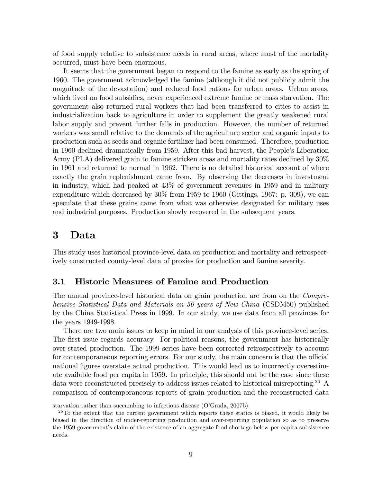of food supply relative to subsistence needs in rural areas, where most of the mortality occurred, must have been enormous.

It seems that the government began to respond to the famine as early as the spring of 1960. The government acknowledged the famine (although it did not publicly admit the magnitude of the devastation) and reduced food rations for urban areas. Urban areas, which lived on food subsidies, never experienced extreme famine or mass starvation. The government also returned rural workers that had been transferred to cities to assist in industrialization back to agriculture in order to supplement the greatly weakened rural labor supply and prevent further falls in production. However, the number of returned workers was small relative to the demands of the agriculture sector and organic inputs to production such as seeds and organic fertilizer had been consumed. Therefore, production in 1960 declined dramatically from 1959. After this bad harvest, the People's Liberation Army (PLA) delivered grain to famine stricken areas and mortality rates declined by 30% in 1961 and returned to normal in 1962. There is no detailed historical account of where exactly the grain replenishment came from. By observing the decreases in investment in industry, which had peaked at 43% of government revenues in 1959 and in military expenditure which decreased by 30% from 1959 to 1960 (Gittings, 1967: p. 309), we can speculate that these grains came from what was otherwise designated for military uses and industrial purposes. Production slowly recovered in the subsequent years.

## 3 Data

This study uses historical province-level data on production and mortality and retrospectively constructed county-level data of proxies for production and famine severity.

## 3.1 Historic Measures of Famine and Production

The annual province-level historical data on grain production are from on the Comprehensive Statistical Data and Materials on 50 years of New China (CSDM50) published by the China Statistical Press in 1999. In our study, we use data from all provinces for the years 1949-1998.

There are two main issues to keep in mind in our analysis of this province-level series. The first issue regards accuracy. For political reasons, the government has historically over-stated production. The 1999 series have been corrected retrospectively to account for contemporaneous reporting errors. For our study, the main concern is that the official national figures overstate actual production. This would lead us to incorrectly overestimate available food per capita in 1959. In principle, this should not be the case since these data were reconstructed precisely to address issues related to historical misreporting.<sup>26</sup> A comparison of contemporaneous reports of grain production and the reconstructed data

starvation rather than succumbing to infectious disease (O'Grada, 2007b).

 $^{26}$ To the extent that the current government which reports these statics is biased, it would likely be biased in the direction of under-reporting production and over-reporting population so as to preserve the 1959 governmentís claim of the existence of an aggregate food shortage below per capita subsistence needs.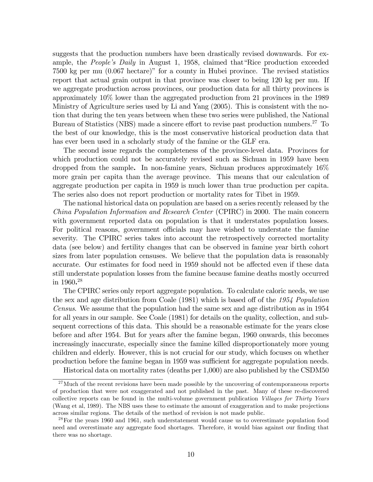suggests that the production numbers have been drastically revised downwards. For example, the *People's Daily* in August 1, 1958, claimed that Rice production exceeded  $7500 \text{ kg per mu } (0.067 \text{ hectare})$ <sup>n</sup> for a county in Hubei province. The revised statistics report that actual grain output in that province was closer to being 120 kg per mu. If we aggregate production across provinces, our production data for all thirty provinces is approximately 10% lower than the aggregated production from 21 provinces in the 1989 Ministry of Agriculture series used by Li and Yang (2005). This is consistent with the notion that during the ten years between when these two series were published, the National Bureau of Statistics (NBS) made a sincere effort to revise past production numbers.<sup>27</sup> To the best of our knowledge, this is the most conservative historical production data that has ever been used in a scholarly study of the famine or the GLF era.

The second issue regards the completeness of the province-level data. Provinces for which production could not be accurately revised such as Sichuan in 1959 have been dropped from the sample. In non-famine years, Sichuan produces approximately 16% more grain per capita than the average province. This means that our calculation of aggregate production per capita in 1959 is much lower than true production per capita. The series also does not report production or mortality rates for Tibet in 1959.

The national historical data on population are based on a series recently released by the China Population Information and Research Center (CPIRC) in 2000. The main concern with government reported data on population is that it understates population losses. For political reasons, government officials may have wished to understate the famine severity. The CPIRC series takes into account the retrospectively corrected mortality data (see below) and fertility changes that can be observed in famine year birth cohort sizes from later population censuses. We believe that the population data is reasonably accurate. Our estimates for food need in 1959 should not be affected even if these data still understate population losses from the famine because famine deaths mostly occurred in 1960. 28

The CPIRC series only report aggregate population. To calculate caloric needs, we use the sex and age distribution from Coale  $(1981)$  which is based off of the 1954 Population Census. We assume that the population had the same sex and age distribution as in 1954 for all years in our sample. See Coale (1981) for details on the quality, collection, and subsequent corrections of this data. This should be a reasonable estimate for the years close before and after 1954. But for years after the famine began, 1960 onwards, this becomes increasingly inaccurate, especially since the famine killed disproportionately more young children and elderly. However, this is not crucial for our study, which focuses on whether production before the famine began in 1959 was sufficient for aggregate population needs.

Historical data on mortality rates (deaths per 1,000) are also published by the CSDM50

<sup>&</sup>lt;sup>27</sup>Much of the recent revisions have been made possible by the uncovering of contemporaneous reports of production that were not exaggerated and not published in the past. Many of these re-discovered collective reports can be found in the multi-volume government publication Villages for Thirty Years (Wang et al, 1989). The NBS uses these to estimate the amount of exaggeration and to make projections across similar regions. The details of the method of revision is not made public.

 $^{28}$ For the years 1960 and 1961, such understatement would cause us to overestimate population food need and overestimate any aggregate food shortages. Therefore, it would bias against our finding that there was no shortage.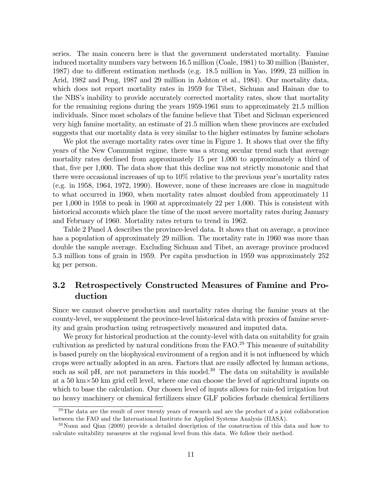series. The main concern here is that the government understated mortality. Famine induced mortality numbers vary between 16.5 million (Coale, 1981) to 30 million (Banister, 1987) due to different estimation methods (e.g. 18.5 million in Yao, 1999, 23 million in Arid, 1982 and Peng, 1987 and 29 million in Ashton et al., 1984). Our mortality data, which does not report mortality rates in 1959 for Tibet, Sichuan and Hainan due to the NBSís inability to provide accurately corrected mortality rates, show that mortality for the remaining regions during the years 1959-1961 sum to approximately 21.5 million individuals. Since most scholars of the famine believe that Tibet and Sichuan experienced very high famine mortality, an estimate of 21.5 million when these provinces are excluded suggests that our mortality data is very similar to the higher estimates by famine scholars

We plot the average mortality rates over time in Figure 1. It shows that over the fifty years of the New Communist regime, there was a strong secular trend such that average mortality rates declined from approximately 15 per 1,000 to approximately a third of that, five per 1,000. The data show that this decline was not strictly monotonic and that there were occasional increases of up to  $10\%$  relative to the previous year's mortality rates (e.g. in 1958, 1964, 1972, 1990). However, none of these increases are close in magnitude to what occurred in 1960, when mortality rates almost doubled from approximately 11 per 1,000 in 1958 to peak in 1960 at approximately 22 per 1,000. This is consistent with historical accounts which place the time of the most severe mortality rates during January and February of 1960. Mortality rates return to trend in 1962.

Table 2 Panel A describes the province-level data. It shows that on average, a province has a population of approximately 29 million. The mortality rate in 1960 was more than double the sample average. Excluding Sichuan and Tibet, an average province produced 5.3 million tons of grain in 1959. Per capita production in 1959 was approximately 252 kg per person.

## 3.2 Retrospectively Constructed Measures of Famine and Production

Since we cannot observe production and mortality rates during the famine years at the county-level, we supplement the province-level historical data with proxies of famine severity and grain production using retrospectively measured and imputed data.

We proxy for historical production at the county-level with data on suitability for grain cultivation as predicted by natural conditions from the FAO.<sup>29</sup> This measure of suitability is based purely on the biophysical environment of a region and it is not influenced by which crops were actually adopted in an area. Factors that are easily affected by human actions, such as soil pH, are not parameters in this model.<sup>30</sup> The data on suitability is available at a 50 km-50 km grid cell level, where one can choose the level of agricultural inputs on which to base the calculation. Our chosen level of inputs allows for rain-fed irrigation but no heavy machinery or chemical fertilizers since GLF policies forbade chemical fertilizers

 $29$ The data are the result of over twenty years of research and are the product of a joint collaboration between the FAO and the International Institute for Applied Systems Analysis (IIASA).

<sup>&</sup>lt;sup>30</sup>Nunn and Qian (2009) provide a detailed description of the construction of this data and how to calculate suitability measures at the regional level from this data. We follow their method.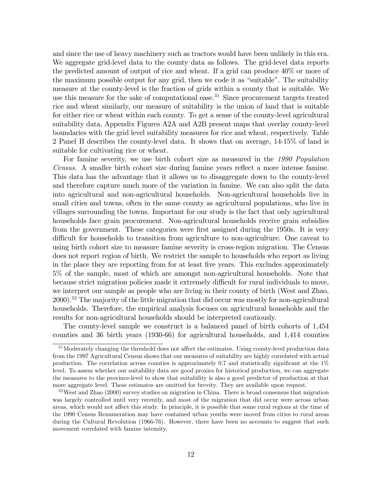and since the use of heavy machinery such as tractors would have been unlikely in this era. We aggregate grid-level data to the county data as follows. The grid-level data reports the predicted amount of output of rice and wheat. If a grid can produce 40% or more of the maximum possible output for any grid, then we code it as "suitable". The suitability measure at the county-level is the fraction of grids within a county that is suitable. We use this measure for the sake of computational ease.<sup>31</sup> Since procurement targets treated rice and wheat similarly, our measure of suitability is the union of land that is suitable for either rice or wheat within each county. To get a sense of the county-level agricultural suitability data, Appendix Figures A2A and A2B present maps that overlay county-level boundaries with the grid level suitability measures for rice and wheat, respectively. Table 2 Panel B describes the county-level data. It shows that on average, 14-15% of land is suitable for cultivating rice or wheat.

For famine severity, we use birth cohort size as measured in the 1990 Population Census. A smaller birth cohort size during famine years reflect a more intense famine. This data has the advantage that it allows us to disaggregate down to the county-level and therefore capture much more of the variation in famine. We can also split the data into agricultural and non-agricultural households. Non-agricultural households live in small cities and towns, often in the same county as agricultural populations, who live in villages surrounding the towns. Important for our study is the fact that only agricultural households face grain procurement. Non-agricultural households receive grain subsidies from the government. These categories were first assigned during the 1950s. It is very difficult for households to transition from agriculture to non-agriculture. One caveat to using birth cohort size to measure famine severity is cross-region migration. The Census does not report region of birth. We restrict the sample to households who report as living in the place they are reporting from for at least Öve years. This excludes approximately 5% of the sample, most of which are amongst non-agricultural households. Note that because strict migration policies made it extremely difficult for rural individuals to move, we interpret our sample as people who are living in their county of birth (West and Zhao, 2000).<sup>32</sup> The majority of the little migration that did occur was mostly for non-agricultural households. Therefore, the empirical analysis focuses on agricultural households and the results for non-agricultural households should be interpreted cautiously.

The county-level sample we construct is a balanced panel of birth cohorts of 1,454 counties and 36 birth years (1930-66) for agricultural households, and 1,414 counties

 $31$ Moderately changing the threshold does not affect the estimates. Using county-level production data from the 1997 Agricultural Census shows that our measures of suitability are highly correlated with actual production. The correlation across counties is approximately 0.7 and statistically significant at the  $1\%$ level. To assess whether our suitability data are good proxies for historical production, we can aggregate the measures to the province-level to show that suitability is also a good predictor of production at that more aggregate level. These estimates are omitted for brevity. They are available upon request.

<sup>32</sup>West and Zhao (2000) survey studies on migration in China. There is broad consensus that migration was largely controlled until very recently, and most of the migration that did occur were across urban areas, which would not affect this study. In principle, it is possible that some rural regions at the time of the 1990 Census Renumeration may have contained urban youths were moved from cities to rural areas during the Cultural Revolution (1966-76). However, there have been no accounts to suggest that such movement correlated with famine intensity.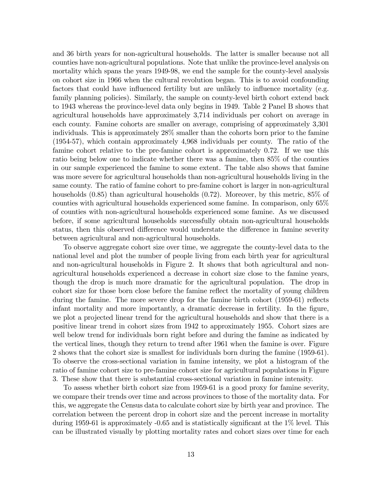and 36 birth years for non-agricultural households. The latter is smaller because not all counties have non-agricultural populations. Note that unlike the province-level analysis on mortality which spans the years 1949-98, we end the sample for the county-level analysis on cohort size in 1966 when the cultural revolution began. This is to avoid confounding factors that could have influenced fertility but are unlikely to influence mortality (e.g. family planning policies). Similarly, the sample on county-level birth cohort extend back to 1943 whereas the province-level data only begins in 1949. Table 2 Panel B shows that agricultural households have approximately 3,714 individuals per cohort on average in each county. Famine cohorts are smaller on average, comprising of approximately 3,301 individuals. This is approximately 28% smaller than the cohorts born prior to the famine (1954-57), which contain approximately 4,968 individuals per county. The ratio of the famine cohort relative to the pre-famine cohort is approximately 0.72. If we use this ratio being below one to indicate whether there was a famine, then 85% of the counties in our sample experienced the famine to some extent. The table also shows that famine was more severe for agricultural households than non-agricultural households living in the same county. The ratio of famine cohort to pre-famine cohort is larger in non-agricultural households  $(0.85)$  than agricultural households  $(0.72)$ . Moreover, by this metric, 85% of counties with agricultural households experienced some famine. In comparison, only 65% of counties with non-agricultural households experienced some famine. As we discussed before, if some agricultural households successfully obtain non-agricultural households status, then this observed difference would understate the difference in famine severity between agricultural and non-agricultural households.

To observe aggregate cohort size over time, we aggregate the county-level data to the national level and plot the number of people living from each birth year for agricultural and non-agricultural households in Figure 2. It shows that both agricultural and nonagricultural households experienced a decrease in cohort size close to the famine years, though the drop is much more dramatic for the agricultural population. The drop in cohort size for those born close before the famine reflect the mortality of young children during the famine. The more severe drop for the famine birth cohort  $(1959-61)$  reflects infant mortality and more importantly, a dramatic decrease in fertility. In the figure, we plot a projected linear trend for the agricultural households and show that there is a positive linear trend in cohort sizes from 1942 to approximately 1955. Cohort sizes are well below trend for individuals born right before and during the famine as indicated by the vertical lines, though they return to trend after 1961 when the famine is over. Figure 2 shows that the cohort size is smallest for individuals born during the famine (1959-61). To observe the cross-sectional variation in famine intensity, we plot a histogram of the ratio of famine cohort size to pre-famine cohort size for agricultural populations in Figure 3. These show that there is substantial cross-sectional variation in famine intensity.

To assess whether birth cohort size from 1959-61 is a good proxy for famine severity, we compare their trends over time and across provinces to those of the mortality data. For this, we aggregate the Census data to calculate cohort size by birth year and province. The correlation between the percent drop in cohort size and the percent increase in mortality during 1959-61 is approximately  $-0.65$  and is statistically significant at the 1% level. This can be illustrated visually by plotting mortality rates and cohort sizes over time for each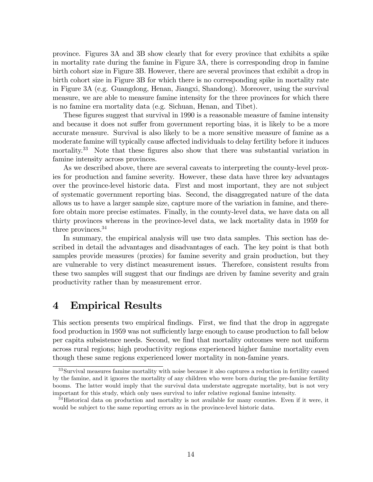province. Figures 3A and 3B show clearly that for every province that exhibits a spike in mortality rate during the famine in Figure 3A, there is corresponding drop in famine birth cohort size in Figure 3B. However, there are several provinces that exhibit a drop in birth cohort size in Figure 3B for which there is no corresponding spike in mortality rate in Figure 3A (e.g. Guangdong, Henan, Jiangxi, Shandong). Moreover, using the survival measure, we are able to measure famine intensity for the three provinces for which there is no famine era mortality data (e.g. Sichuan, Henan, and Tibet).

These figures suggest that survival in 1990 is a reasonable measure of famine intensity and because it does not suffer from government reporting bias, it is likely to be a more accurate measure. Survival is also likely to be a more sensitive measure of famine as a moderate famine will typically cause affected individuals to delay fertility before it induces mortality.<sup>33</sup> Note that these figures also show that there was substantial variation in famine intensity across provinces.

As we described above, there are several caveats to interpreting the county-level proxies for production and famine severity. However, these data have three key advantages over the province-level historic data. First and most important, they are not subject of systematic government reporting bias. Second, the disaggregated nature of the data allows us to have a larger sample size, capture more of the variation in famine, and therefore obtain more precise estimates. Finally, in the county-level data, we have data on all thirty provinces whereas in the province-level data, we lack mortality data in 1959 for three provinces.<sup>34</sup>

In summary, the empirical analysis will use two data samples. This section has described in detail the advantages and disadvantages of each. The key point is that both samples provide measures (proxies) for famine severity and grain production, but they are vulnerable to very distinct measurement issues. Therefore, consistent results from these two samples will suggest that our findings are driven by famine severity and grain productivity rather than by measurement error.

## 4 Empirical Results

This section presents two empirical findings. First, we find that the drop in aggregate food production in 1959 was not sufficiently large enough to cause production to fall below per capita subsistence needs. Second, we Önd that mortality outcomes were not uniform across rural regions; high productivity regions experienced higher famine mortality even though these same regions experienced lower mortality in non-famine years.

<sup>33</sup>Survival measures famine mortality with noise because it also captures a reduction in fertility caused by the famine, and it ignores the mortality of any children who were born during the pre-famine fertility booms. The latter would imply that the survival data understate aggregate mortality, but is not very important for this study, which only uses survival to infer relative regional famine intensity.

 $34$ Historical data on production and mortality is not available for many counties. Even if it were, it would be subject to the same reporting errors as in the province-level historic data.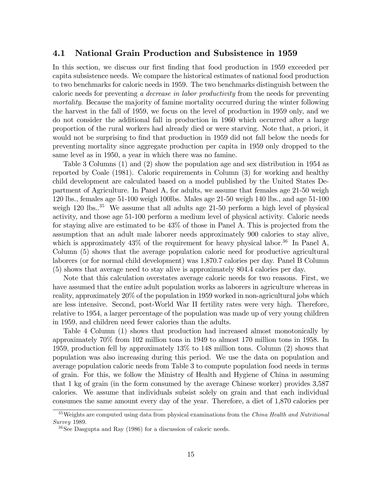#### 4.1 National Grain Production and Subsistence in 1959

In this section, we discuss our first finding that food production in 1959 exceeded per capita subsistence needs. We compare the historical estimates of national food production to two benchmarks for caloric needs in 1959. The two benchmarks distinguish between the caloric needs for preventing a decrease in labor productivity from the needs for preventing mortality. Because the majority of famine mortality occurred during the winter following the harvest in the fall of 1959, we focus on the level of production in 1959 only, and we do not consider the additional fall in production in 1960 which occurred after a large proportion of the rural workers had already died or were starving. Note that, a priori, it would not be surprising to find that production in 1959 did not fall below the needs for preventing mortality since aggregate production per capita in 1959 only dropped to the same level as in 1950, a year in which there was no famine.

Table 3 Columns (1) and (2) show the population age and sex distribution in 1954 as reported by Coale (1981). Caloric requirements in Column (3) for working and healthy child development are calculated based on a model published by the United States Department of Agriculture. In Panel A, for adults, we assume that females age 21-50 weigh 120 lbs., females age 51-100 weigh 100lbs. Males age 21-50 weigh 140 lbs., and age 51-100 weigh  $120 \text{ lbs.}^{35}$  We assume that all adults age  $21-50$  perform a high level of physical activity, and those age 51-100 perform a medium level of physical activity. Caloric needs for staying alive are estimated to be 43% of those in Panel A. This is projected from the assumption that an adult male laborer needs approximately 900 calories to stay alive, which is approximately  $43\%$  of the requirement for heavy physical labor.<sup>36</sup> In Panel A, Column (5) shows that the average population caloric need for productive agricultural laborers (or for normal child development) was 1,870.7 calories per day. Panel B Column (5) shows that average need to stay alive is approximately 804.4 calories per day.

Note that this calculation overstates average caloric needs for two reasons. First, we have assumed that the entire adult population works as laborers in agriculture whereas in reality, approximately 20% of the population in 1959 worked in non-agricultural jobs which are less intensive. Second, post-World War II fertility rates were very high. Therefore, relative to 1954, a larger percentage of the population was made up of very young children in 1959, and children need fewer calories than the adults.

Table 4 Column (1) shows that production had increased almost monotonically by approximately 70% from 102 million tons in 1949 to almost 170 million tons in 1958. In 1959, production fell by approximately 13% to 148 million tons. Column (2) shows that population was also increasing during this period. We use the data on population and average population caloric needs from Table 3 to compute population food needs in terms of grain. For this, we follow the Ministry of Health and Hygiene of China in assuming that 1 kg of grain (in the form consumed by the average Chinese worker) provides 3,587 calories. We assume that individuals subsist solely on grain and that each individual consumes the same amount every day of the year. Therefore, a diet of 1,870 calories per

 $35\,\text{Weights are computed using data from physical examinations from the China Health and Nutritional.}$ Survey 1989.

 $36$ See Dasgupta and Ray (1986) for a discussion of caloric needs.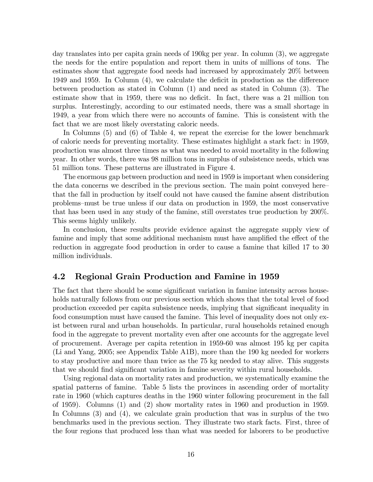day translates into per capita grain needs of 190kg per year. In column (3), we aggregate the needs for the entire population and report them in units of millions of tons. The estimates show that aggregate food needs had increased by approximately 20% between 1949 and 1959. In Column  $(4)$ , we calculate the deficit in production as the difference between production as stated in Column (1) and need as stated in Column (3). The estimate show that in 1959, there was no deficit. In fact, there was a 21 million ton surplus. Interestingly, according to our estimated needs, there was a small shortage in 1949, a year from which there were no accounts of famine. This is consistent with the fact that we are most likely overstating caloric needs.

In Columns (5) and (6) of Table 4, we repeat the exercise for the lower benchmark of caloric needs for preventing mortality. These estimates highlight a stark fact: in 1959, production was almost three times as what was needed to avoid mortality in the following year. In other words, there was 98 million tons in surplus of subsistence needs, which was 51 million tons. These patterns are illustrated in Figure 4.

The enormous gap between production and need in 1959 is important when considering the data concerns we described in the previous section. The main point conveyed here that the fall in production by itself could not have caused the famine absent distribution problems–must be true unless if our data on production in 1959, the most conservative that has been used in any study of the famine, still overstates true production by 200%. This seems highly unlikely.

In conclusion, these results provide evidence against the aggregate supply view of famine and imply that some additional mechanism must have amplified the effect of the reduction in aggregate food production in order to cause a famine that killed 17 to 30 million individuals.

#### 4.2 Regional Grain Production and Famine in 1959

The fact that there should be some significant variation in famine intensity across households naturally follows from our previous section which shows that the total level of food production exceeded per capita subsistence needs, implying that significant inequality in food consumption must have caused the famine. This level of inequality does not only exist between rural and urban households. In particular, rural households retained enough food in the aggregate to prevent mortality even after one accounts for the aggregate level of procurement. Average per capita retention in 1959-60 was almost 195 kg per capita (Li and Yang, 2005; see Appendix Table A1B), more than the 190 kg needed for workers to stay productive and more than twice as the 75 kg needed to stay alive. This suggests that we should find significant variation in famine severity within rural households.

Using regional data on mortality rates and production, we systematically examine the spatial patterns of famine. Table 5 lists the provinces in ascending order of mortality rate in 1960 (which captures deaths in the 1960 winter following procurement in the fall of 1959). Columns (1) and (2) show mortality rates in 1960 and production in 1959. In Columns (3) and (4), we calculate grain production that was in surplus of the two benchmarks used in the previous section. They illustrate two stark facts. First, three of the four regions that produced less than what was needed for laborers to be productive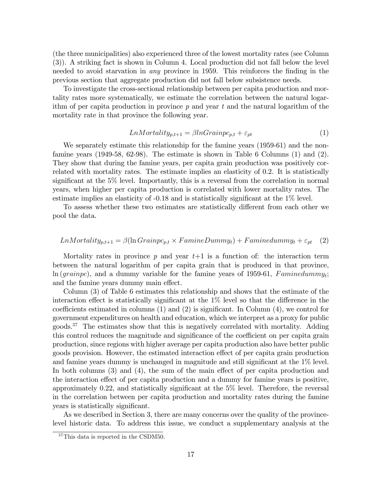(the three municipalities) also experienced three of the lowest mortality rates (see Column (3)). A striking fact is shown in Column 4. Local production did not fall below the level needed to avoid starvation in *any* province in 1959. This reinforces the finding in the previous section that aggregate production did not fall below subsistence needs.

To investigate the cross-sectional relationship between per capita production and mortality rates more systematically, we estimate the correlation between the natural logarithm of per capita production in province  $p$  and year  $t$  and the natural logarithm of the mortality rate in that province the following year.

$$
LnMortality_{p,t+1} = \beta lnGrainpc_{p,t} + \varepsilon_{pt}
$$
\n<sup>(1)</sup>

We separately estimate this relationship for the famine years (1959-61) and the nonfamine years (1949-58, 62-98). The estimate is shown in Table 6 Columns (1) and (2). They show that during the famine years, per capita grain production was positively correlated with mortality rates. The estimate implies an elasticity of 0.2. It is statistically significant at the  $5\%$  level. Importantly, this is a reversal from the correlation in normal years, when higher per capita production is correlated with lower mortality rates. The estimate implies an elasticity of  $-0.18$  and is statistically significant at the  $1\%$  level.

To assess whether these two estimates are statistically different from each other we pool the data.

$$
LnMortality_{p,t+1} = \beta(\ln Grainpc_{p,t} \times FamineDummy_t) + Faminedummy_t + \varepsilon_{pt} \quad (2)
$$

Mortality rates in province  $p$  and year  $t+1$  is a function of: the interaction term between the natural logarithm of per capita grain that is produced in that province,  $\ln (grainpc)$ , and a dummy variable for the famine years of 1959-61,  $Faminedummy_t$ ; and the famine years dummy main effect.

Column (3) of Table 6 estimates this relationship and shows that the estimate of the interaction effect is statistically significant at the  $1\%$  level so that the difference in the coefficients estimated in columns  $(1)$  and  $(2)$  is significant. In Column  $(4)$ , we control for government expenditures on health and education, which we interpret as a proxy for public goods.<sup>37</sup> The estimates show that this is negatively correlated with mortality. Adding this control reduces the magnitude and significance of the coefficient on per capita grain production, since regions with higher average per capita production also have better public goods provision. However, the estimated interaction effect of per capita grain production and famine years dummy is unchanged in magnitude and still significant at the  $1\%$  level. In both columns  $(3)$  and  $(4)$ , the sum of the main effect of per capita production and the interaction effect of per capita production and a dummy for famine years is positive, approximately 0.22, and statistically significant at the  $5\%$  level. Therefore, the reversal in the correlation between per capita production and mortality rates during the famine years is statistically significant.

As we described in Section 3, there are many concerns over the quality of the provincelevel historic data. To address this issue, we conduct a supplementary analysis at the

<sup>37</sup>This data is reported in the CSDM50.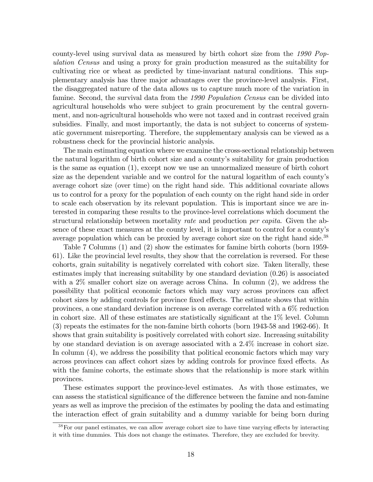county-level using survival data as measured by birth cohort size from the 1990 Population Census and using a proxy for grain production measured as the suitability for cultivating rice or wheat as predicted by time-invariant natural conditions. This supplementary analysis has three major advantages over the province-level analysis. First, the disaggregated nature of the data allows us to capture much more of the variation in famine. Second, the survival data from the 1990 Population Census can be divided into agricultural households who were subject to grain procurement by the central government, and non-agricultural households who were not taxed and in contrast received grain subsidies. Finally, and most importantly, the data is not subject to concerns of systematic government misreporting. Therefore, the supplementary analysis can be viewed as a robustness check for the provincial historic analysis.

The main estimating equation where we examine the cross-sectional relationship between the natural logarithm of birth cohort size and a countyís suitability for grain production is the same as equation (1), except now we use an unnormalized measure of birth cohort size as the dependent variable and we control for the natural logarithm of each county's average cohort size (over time) on the right hand side. This additional covariate allows us to control for a proxy for the population of each county on the right hand side in order to scale each observation by its relevant population. This is important since we are interested in comparing these results to the province-level correlations which document the structural relationship between mortality rate and production *per capita*. Given the absence of these exact measures at the county level, it is important to control for a countyís average population which can be proxied by average cohort size on the right hand side.<sup>38</sup>

Table 7 Columns (1) and (2) show the estimates for famine birth cohorts (born 1959- 61). Like the provincial level results, they show that the correlation is reversed. For these cohorts, grain suitability is negatively correlated with cohort size. Taken literally, these estimates imply that increasing suitability by one standard deviation (0.26) is associated with a 2% smaller cohort size on average across China. In column (2), we address the possibility that political economic factors which may vary across provinces can affect cohort sizes by adding controls for province fixed effects. The estimate shows that within provinces, a one standard deviation increase is on average correlated with a 6% reduction in cohort size. All of these estimates are statistically significant at the  $1\%$  level. Column (3) repeats the estimates for the non-famine birth cohorts (born 1943-58 and 1962-66). It shows that grain suitability is positively correlated with cohort size. Increasing suitability by one standard deviation is on average associated with a 2.4% increase in cohort size. In column  $(4)$ , we address the possibility that political economic factors which may vary across provinces can affect cohort sizes by adding controls for province fixed effects. As with the famine cohorts, the estimate shows that the relationship is more stark within provinces.

These estimates support the province-level estimates. As with those estimates, we can assess the statistical significance of the difference between the famine and non-famine years as well as improve the precision of the estimates by pooling the data and estimating the interaction effect of grain suitability and a dummy variable for being born during

 $38$ For our panel estimates, we can allow average cohort size to have time varying effects by interacting it with time dummies. This does not change the estimates. Therefore, they are excluded for brevity.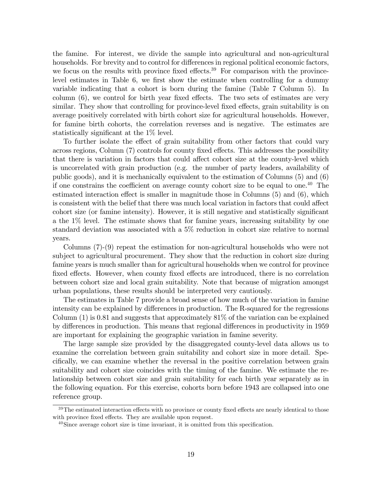the famine. For interest, we divide the sample into agricultural and non-agricultural households. For brevity and to control for differences in regional political economic factors, we focus on the results with province fixed effects.<sup>39</sup> For comparison with the provincelevel estimates in Table 6, we first show the estimate when controlling for a dummy variable indicating that a cohort is born during the famine (Table 7 Column 5). In column  $(6)$ , we control for birth year fixed effects. The two sets of estimates are very similar. They show that controlling for province-level fixed effects, grain suitability is on average positively correlated with birth cohort size for agricultural households. However, for famine birth cohorts, the correlation reverses and is negative. The estimates are statistically significant at the 1\% level.

To further isolate the effect of grain suitability from other factors that could vary across regions, Column  $(7)$  controls for county fixed effects. This addresses the possibility that there is variation in factors that could affect cohort size at the county-level which is uncorrelated with grain production (e.g. the number of party leaders, availability of public goods), and it is mechanically equivalent to the estimation of Columns (5) and (6) if one constrains the coefficient on average county cohort size to be equal to one.<sup>40</sup> The estimated interaction effect is smaller in magnitude those in Columns  $(5)$  and  $(6)$ , which is consistent with the belief that there was much local variation in factors that could affect cohort size (or famine intensity). However, it is still negative and statistically significant a the 1% level. The estimate shows that for famine years, increasing suitability by one standard deviation was associated with a 5% reduction in cohort size relative to normal years.

Columns (7)-(9) repeat the estimation for non-agricultural households who were not subject to agricultural procurement. They show that the reduction in cohort size during famine years is much smaller than for agricultural households when we control for province fixed effects. However, when county fixed effects are introduced, there is no correlation between cohort size and local grain suitability. Note that because of migration amongst urban populations, these results should be interpreted very cautiously.

The estimates in Table 7 provide a broad sense of how much of the variation in famine intensity can be explained by differences in production. The R-squared for the regressions Column  $(1)$  is 0.81 and suggests that approximately 81% of the variation can be explained by differences in production. This means that regional differences in productivity in 1959 are important for explaining the geographic variation in famine severity.

The large sample size provided by the disaggregated county-level data allows us to examine the correlation between grain suitability and cohort size in more detail. Specifically, we can examine whether the reversal in the positive correlation between grain suitability and cohort size coincides with the timing of the famine. We estimate the relationship between cohort size and grain suitability for each birth year separately as in the following equation. For this exercise, cohorts born before 1943 are collapsed into one reference group.

 $39$ The estimated interaction effects with no province or county fixed effects are nearly identical to those with province fixed effects. They are available upon request.

 $^{40}$ Since average cohort size is time invariant, it is omitted from this specification.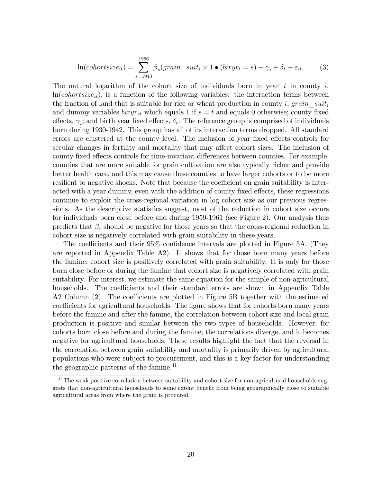$$
\ln(cohortsize_{it}) = \sum_{s=1943}^{1966} \beta_s(grain\_suit_i \times 1 \bullet (biryr_t = s) + \gamma_i + \delta_t + \varepsilon_{it},\qquad(3)
$$

The natural logarithm of the cohort size of individuals born in year  $t$  in county  $i$ ,  $ln(cohortsize_{it})$ , is a function of the following variables: the interaction terms between the fraction of land that is suitable for rice or wheat production in county i, grain  $suit_i$ and dummy variables  $biryr_{st}$  which equals 1 if  $s = t$  and equals 0 otherwise; county fixed effects,  $\gamma_i$ ; and birth year fixed effects,  $\delta_t$ . The reference group is comprised of individuals born during 1930-1942. This group has all of its interaction terms dropped. All standard errors are clustered at the county level. The inclusion of year fixed effects controls for secular changes in fertility and mortality that may affect cohort sizes. The inclusion of county fixed effects controls for time-invariant differences between counties. For example, counties that are more suitable for grain cultivation are also typically richer and provide better health care, and this may cause these counties to have larger cohorts or to be more resilient to negative shocks. Note that because the coefficient on grain suitability is interacted with a year dummy, even with the addition of county fixed effects, these regressions continue to exploit the cross-regional variation in log cohort size as our previous regressions. As the descriptive statistics suggest, most of the reduction in cohort size occurs for individuals born close before and during 1959-1961 (see Figure 2). Our analysis thus predicts that  $\beta_t$  should be negative for those years so that the cross-regional reduction in cohort size is negatively correlated with grain suitability in these years.

The coefficients and their  $95\%$  confidence intervals are plotted in Figure 5A. (They are reported in Appendix Table A2). It shows that for those born many years before the famine, cohort size is positively correlated with grain suitability. It is only for those born close before or during the famine that cohort size is negatively correlated with grain suitability. For interest, we estimate the same equation for the sample of non-agricultural households. The coefficients and their standard errors are shown in Appendix Table A2 Column  $(2)$ . The coefficients are plotted in Figure 5B together with the estimated coefficients for agricultural households. The figure shows that for cohorts born many years before the famine and after the famine, the correlation between cohort size and local grain production is positive and similar between the two types of households. However, for cohorts born close before and during the famine, the correlations diverge, and it becomes negative for agricultural households. These results highlight the fact that the reversal in the correlation between grain suitability and mortality is primarily driven by agricultural populations who were subject to procurement, and this is a key factor for understanding the geographic patterns of the famine.<sup>41</sup>

<sup>&</sup>lt;sup>41</sup>The weak positive correlation between suitability and cohort size for non-agricultural households suggests that non-agricultural households to some extent benefit from being geographically close to suitable agricultural areas from where the grain is procured.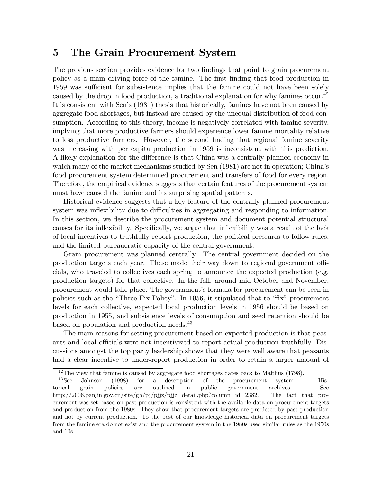## 5 The Grain Procurement System

The previous section provides evidence for two findings that point to grain procurement policy as a main driving force of the famine. The Örst Önding that food production in 1959 was sufficient for subsistence implies that the famine could not have been solely caused by the drop in food production, a traditional explanation for why famines occur.<sup>42</sup> It is consistent with Sen's (1981) thesis that historically, famines have not been caused by aggregate food shortages, but instead are caused by the unequal distribution of food consumption. According to this theory, income is negatively correlated with famine severity, implying that more productive farmers should experience lower famine mortality relative to less productive farmers. However, the second finding that regional famine severity was increasing with per capita production in 1959 is inconsistent with this prediction. A likely explanation for the difference is that China was a centrally-planned economy in which many of the market mechanisms studied by Sen (1981) are not in operation; China's food procurement system determined procurement and transfers of food for every region. Therefore, the empirical evidence suggests that certain features of the procurement system must have caused the famine and its surprising spatial patterns.

Historical evidence suggests that a key feature of the centrally planned procurement system was inflexibility due to difficulties in aggregating and responding to information. In this section, we describe the procurement system and document potential structural causes for its inflexibility. Specifically, we argue that inflexibility was a result of the lack of local incentives to truthfully report production, the political pressures to follow rules, and the limited bureaucratic capacity of the central government.

Grain procurement was planned centrally. The central government decided on the production targets each year. These made their way down to regional government of  $\ddot{H}$ cials, who traveled to collectives each spring to announce the expected production (e.g. production targets) for that collective. In the fall, around mid-October and November, procurement would take place. The government's formula for procurement can be seen in policies such as the "Three Fix Policy". In 1956, it stipulated that to "fix" procurement levels for each collective, expected local production levels in 1956 should be based on production in 1955, and subsistence levels of consumption and seed retention should be based on population and production needs.<sup>43</sup>

The main reasons for setting procurement based on expected production is that peasants and local officials were not incentivized to report actual production truthfully. Discussions amongst the top party leadership shows that they were well aware that peasants had a clear incentive to under-report production in order to retain a larger amount of

<sup>&</sup>lt;sup>42</sup>The view that famine is caused by aggregate food shortages dates back to Malthus (1798).<br><sup>43</sup>See Johnson (1998) for a description of the procurement system.

Johnson (1998) for a description of the procurement system. Historical grain policies are outlined in public government archives. See http://2006.panjin.gov.cn/site/gb/pj/pjjz/pjjz\_detail.php?column\_id=2382. The fact that procurement was set based on past production is consistent with the available data on procurement targets and production from the 1980s. They show that procurement targets are predicted by past production and not by current production. To the best of our knowledge historical data on procurement targets from the famine era do not exist and the procurement system in the 1980s used similar rules as the 1950s and 60s.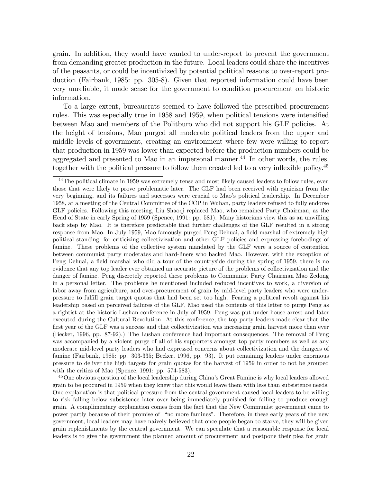grain. In addition, they would have wanted to under-report to prevent the government from demanding greater production in the future. Local leaders could share the incentives of the peasants, or could be incentivized by potential political reasons to over-report production (Fairbank, 1985: pp. 305-8). Given that reported information could have been very unreliable, it made sense for the government to condition procurement on historic information.

To a large extent, bureaucrats seemed to have followed the prescribed procurement rules. This was especially true in 1958 and 1959, when political tensions were intensified between Mao and members of the Politburo who did not support his GLF policies. At the height of tensions, Mao purged all moderate political leaders from the upper and middle levels of government, creating an environment where few were willing to report that production in 1959 was lower than expected before the production numbers could be aggregated and presented to Mao in an impersonal manner.<sup>44</sup> In other words, the rules, together with the political pressure to follow them created led to a very inflexible policy.<sup>45</sup>

<sup>45</sup>One obvious question of the local leadership during China's Great Famine is why local leaders allowed grain to be procured in 1959 when they knew that this would leave them with less than subsistence needs. One explanation is that political pressure from the central government caused local leaders to be willing to risk falling below subsistence later over being immediately punished for failing to produce enough grain. A complimentary explanation comes from the fact that the New Communist government came to power partly because of their promise of "no more famines". Therefore, in these early years of the new government, local leaders may have naively believed that once people began to starve, they will be given grain replenishments by the central government. We can speculate that a reasonable response for local leaders is to give the government the planned amount of procurement and postpone their plea for grain

<sup>&</sup>lt;sup>44</sup>The political climate in 1959 was extremely tense and most likely caused leaders to follow rules, even those that were likely to prove problematic later. The GLF had been received with cynicism from the very beginning, and its failures and successes were crucial to Mao's political leadership. In December 1958, at a meeting of the Central Committee of the CCP in Wuhan, party leaders refused to fully endorse GLF policies. Following this meeting, Liu Shaoqi replaced Mao, who remained Party Chairman, as the Head of State in early Spring of 1959 (Spence, 1991: pp. 581). Many historians view this as an unwilling back step by Mao. It is therefore predictable that further challenges of the GLF resulted in a strong response from Mao. In July 1959, Mao famously purged Peng Dehuai, a field marshal of extremely high political standing, for criticizing collectivization and other GLF policies and expressing forebodings of famine. These problems of the collective system mandated by the GLF were a source of contention between communist party moderates and hard-liners who backed Mao. However, with the exception of Peng Dehuai, a field marshal who did a tour of the countryside during the spring of 1959, there is no evidence that any top leader ever obtained an accurate picture of the problems of collectivization and the danger of famine. Peng discretely reported these problems to Communist Party Chairman Mao Zedong in a personal letter. The problems he mentioned included reduced incentives to work, a diversion of labor away from agriculture, and over-procurement of grain by mid-level party leaders who were underpressure to fulÖll grain target quotas that had been set too high. Fearing a political revolt against his leadership based on perceived failures of the GLF, Mao used the contents of this letter to purge Peng as a rightist at the historic Lushan conference in July of 1959. Peng was put under house arrest and later executed during the Cultural Revolution. At this conference, the top party leaders made clear that the first year of the GLF was a success and that collectivization was increasing grain harvest more than ever (Becker, 1996, pp. 87-92).) The Lushan conference had important consequences. The removal of Peng was accompanied by a violent purge of all of his supporters amongst top party members as well as any moderate mid-level party leaders who had expressed concerns about collectivization and the dangers of famine (Fairbank, 1985: pp. 303-335; Becker, 1996, pp. 93). It put remaining leaders under enormous pressure to deliver the high targets for grain quotas for the harvest of 1959 in order to not be grouped with the critics of Mao (Spence, 1991: pp. 574-583).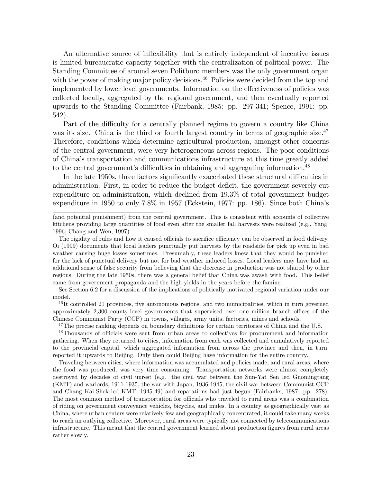An alternative source of inflexibility that is entirely independent of incentive issues is limited bureaucratic capacity together with the centralization of political power. The Standing Committee of around seven Politburo members was the only government organ with the power of making major policy decisions.<sup>46</sup> Policies were decided from the top and implemented by lower level governments. Information on the effectiveness of policies was collected locally, aggregated by the regional government, and then eventually reported upwards to the Standing Committee (Fairbank, 1985: pp. 297-341; Spence, 1991: pp. 542).

Part of the difficulty for a centrally planned regime to govern a country like China was its size. China is the third or fourth largest country in terms of geographic size.<sup>47</sup> Therefore, conditions which determine agricultural production, amongst other concerns of the central government, were very heterogeneous across regions. The poor conditions of Chinaís transportation and communications infrastructure at this time greatly added to the central government's difficulties in obtaining and aggregating information.<sup>48</sup>

In the late 1950s, three factors significantly exacerbated these structural difficulties in administration. First, in order to reduce the budget deficit, the government severely cut expenditure on administration, which declined from 19.3% of total government budget expenditure in 1950 to only 7.8% in 1957 (Eckstein, 1977: pp. 186). Since both Chinaís

 $^{46}$ It controlled 21 provinces, five autonomous regions, and two municipalities, which in turn governed approximately  $2,300$  county-level governments that supervised over one million branch offices of the Chinese Communist Party (CCP) in towns, villages, army units, factories, mines and schools.

 $47$ The precise ranking depends on boundary definitions for certain territories of China and the U.S.

<sup>48</sup>Thousands of officials were sent from urban areas to collectives for procurement and information gathering. When they returned to cities, information from each was collected and cumulatively reported to the provincial capital, which aggregated information from across the province and then, in turn, reported it upwards to Beijing. Only then could Beijing have information for the entire country.

Traveling between cities, where information was accumulated and policies made, and rural areas, where the food was produced, was very time consuming. Transportation networks were almost completely destroyed by decades of civil unrest (e.g. the civil war between the Sun-Yat Sen led Guomingtang (KMT) and warlords, 1911-1935; the war with Japan, 1936-1945; the civil war between Communist CCP and Chang Kai-Shek led KMT, 1945-49) and reparations had just begun (Fairbanks, 1987: pp. 278). The most common method of transportation for officials who traveled to rural areas was a combination of riding on government conveyance vehicles, bicycles, and mules. In a country as geographically vast as China, where urban centers were relatively few and geographically concentrated, it could take many weeks to reach an outlying collective. Moreover, rural areas were typically not connected by telecommunications infrastructure. This meant that the central government learned about production figures from rural areas rather slowly.

<sup>(</sup>and potential punishment) from the central government. This is consistent with accounts of collective kitchens providing large quantities of food even after the smaller fall harvests were realized (e.g., Yang, 1996; Chang and Wen, 1997).

The rigidity of rules and how it caused officials to sacrifice efficiency can be observed in food delivery. Oi (1999) documents that local leaders punctually put harvests by the roadside for pick up even in bad weather causing huge losses sometimes. Presumably, these leaders knew that they would be punished for the lack of punctual delivery but not for bad weather induced losses. Local leaders may have had an additional sense of false security from believing that the decrease in production was not shared by other regions. During the late 1950s, there was a general belief that China was awash with food. This belief came from government propaganda and the high yields in the years before the famine.

See Section 6.2 for a discussion of the implications of politically motivated regional variation under our model.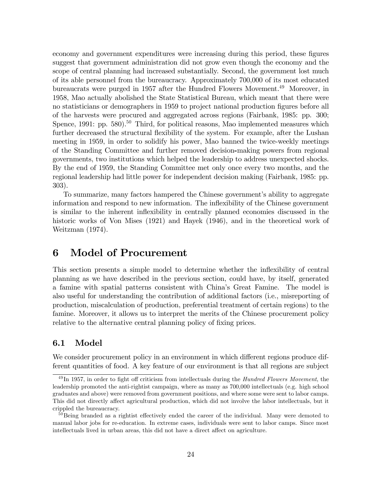economy and government expenditures were increasing during this period, these figures suggest that government administration did not grow even though the economy and the scope of central planning had increased substantially. Second, the government lost much of its able personnel from the bureaucracy. Approximately 700,000 of its most educated bureaucrats were purged in 1957 after the Hundred Flowers Movement.<sup>49</sup> Moreover, in 1958, Mao actually abolished the State Statistical Bureau, which meant that there were no statisticians or demographers in 1959 to project national production figures before all of the harvests were procured and aggregated across regions (Fairbank, 1985: pp. 300; Spence,  $1991$ : pp.  $580$ ).<sup>50</sup> Third, for political reasons, Mao implemented measures which further decreased the structural flexibility of the system. For example, after the Lushan meeting in 1959, in order to solidify his power, Mao banned the twice-weekly meetings of the Standing Committee and further removed decision-making powers from regional governments, two institutions which helped the leadership to address unexpected shocks. By the end of 1959, the Standing Committee met only once every two months, and the regional leadership had little power for independent decision making (Fairbank, 1985: pp. 303).

To summarize, many factors hampered the Chinese government's ability to aggregate information and respond to new information. The inflexibility of the Chinese government is similar to the inherent inflexibility in centrally planned economies discussed in the historic works of Von Mises (1921) and Hayek (1946), and in the theoretical work of Weitzman (1974).

## 6 Model of Procurement

This section presents a simple model to determine whether the inflexibility of central planning as we have described in the previous section, could have, by itself, generated a famine with spatial patterns consistent with Chinaís Great Famine. The model is also useful for understanding the contribution of additional factors (i.e., misreporting of production, miscalculation of production, preferential treatment of certain regions) to the famine. Moreover, it allows us to interpret the merits of the Chinese procurement policy relative to the alternative central planning policy of fixing prices.

#### 6.1 Model

We consider procurement policy in an environment in which different regions produce different quantities of food. A key feature of our environment is that all regions are subject

 $^{49}$ In 1957, in order to fight off criticism from intellectuals during the *Hundred Flowers Movement*, the leadership promoted the anti-rightist campaign, where as many as 700,000 intellectuals (e.g. high school graduates and above) were removed from government positions, and where some were sent to labor camps. This did not directly affect agricultural production, which did not involve the labor intellectuals, but it crippled the bureaucracy.

 $50$ Being branded as a rightist effectively ended the career of the individual. Many were demoted to manual labor jobs for re-education. In extreme cases, individuals were sent to labor camps. Since most intellectuals lived in urban areas, this did not have a direct affect on agriculture.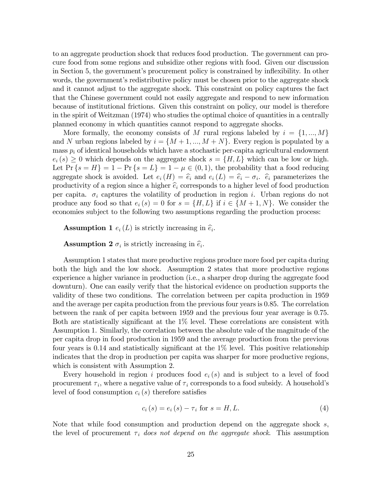to an aggregate production shock that reduces food production. The government can procure food from some regions and subsidize other regions with food. Given our discussion in Section 5, the government's procurement policy is constrained by inflexibility. In other words, the government's redistributive policy must be chosen prior to the aggregate shock and it cannot adjust to the aggregate shock. This constraint on policy captures the fact that the Chinese government could not easily aggregate and respond to new information because of institutional frictions. Given this constraint on policy, our model is therefore in the spirit of Weitzman (1974) who studies the optimal choice of quantities in a centrally planned economy in which quantities cannot respond to aggregate shocks.

More formally, the economy consists of M rural regions labeled by  $i = \{1, ..., M\}$ and N urban regions labeled by  $i = \{M + 1, ..., M + N\}$ . Every region is populated by a mass  $p_i$  of identical households which have a stochastic per-capita agricultural endowment  $e_i(s) \geq 0$  which depends on the aggregate shock  $s = \{H, L\}$  which can be low or high. Let Pr  $\{s = H\} = 1 - Pr\{s = L\} = 1 - \mu \in (0,1)$ , the probability that a food reducing aggregate shock is avoided. Let  $e_i(H) = \hat{e}_i$  and  $e_i(L) = \hat{e}_i - \sigma_i$ .  $\hat{e}_i$  parameterizes the productivity of a region since a higher  $\hat{e}_i$  corresponds to a higher level of food production per capita.  $\sigma_i$  captures the volatility of production in region i. Urban regions do not produce any food so that  $e_i(s) = 0$  for  $s = \{H, L\}$  if  $i \in \{M + 1, N\}$ . We consider the economies subject to the following two assumptions regarding the production process:

**Assumption 1**  $e_i(L)$  is strictly increasing in  $\hat{e}_i$ .

**Assumption 2**  $\sigma_i$  is strictly increasing in  $\hat{e}_i$ .

Assumption 1 states that more productive regions produce more food per capita during both the high and the low shock. Assumption 2 states that more productive regions experience a higher variance in production (i.e., a sharper drop during the aggregate food downturn). One can easily verify that the historical evidence on production supports the validity of these two conditions. The correlation between per capita production in 1959 and the average per capita production from the previous four years is 0.85. The correlation between the rank of per capita between 1959 and the previous four year average is 0.75. Both are statistically significant at the  $1\%$  level. These correlations are consistent with Assumption 1. Similarly, the correlation between the absolute vale of the magnitude of the per capita drop in food production in 1959 and the average production from the previous four years is  $0.14$  and statistically significant at the  $1\%$  level. This positive relationship indicates that the drop in production per capita was sharper for more productive regions, which is consistent with Assumption 2.

Every household in region i produces food  $e_i(s)$  and is subject to a level of food procurement  $\tau_i$ , where a negative value of  $\tau_i$  corresponds to a food subsidy. A household's level of food consumption  $c_i(s)$  therefore satisfies

$$
c_i(s) = e_i(s) - \tau_i \text{ for } s = H, L.
$$
 (4)

Note that while food consumption and production depend on the aggregate shock s, the level of procurement  $\tau_i$  does not depend on the aggregate shock. This assumption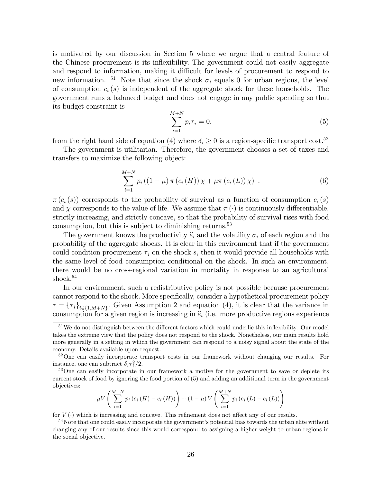is motivated by our discussion in Section 5 where we argue that a central feature of the Chinese procurement is its ináexibility. The government could not easily aggregate and respond to information, making it difficult for levels of procurement to respond to new information. <sup>51</sup> Note that since the shock  $\sigma_i$  equals 0 for urban regions, the level of consumption  $c_i(s)$  is independent of the aggregate shock for these households. The government runs a balanced budget and does not engage in any public spending so that its budget constraint is

$$
\sum_{i=1}^{M+N} p_i \tau_i = 0.
$$
 (5)

from the right hand side of equation (4) where  $\delta_i \geq 0$  is a region-specific transport cost.<sup>52</sup>

The government is utilitarian. Therefore, the government chooses a set of taxes and transfers to maximize the following object:

$$
\sum_{i=1}^{M+N} p_i ((1 - \mu) \pi (c_i (H)) \chi + \mu \pi (c_i (L)) \chi) .
$$
 (6)

 $\pi(c_i(s))$  corresponds to the probability of survival as a function of consumption  $c_i(s)$ and  $\chi$  corresponds to the value of life. We assume that  $\pi(\cdot)$  is continuously differentiable, strictly increasing, and strictly concave, so that the probability of survival rises with food consumption, but this is subject to diminishing returns.<sup>53</sup>

The government knows the productivity  $\hat{e}_i$  and the volatility  $\sigma_i$  of each region and the probability of the aggregate shocks. It is clear in this environment that if the government could condition procurement  $\tau_i$  on the shock s, then it would provide all households with the same level of food consumption conditional on the shock. In such an environment, there would be no cross-regional variation in mortality in response to an agricultural shock.<sup>54</sup>

In our environment, such a redistributive policy is not possible because procurement cannot respond to the shock. More specifically, consider a hypothetical procurement policy  $\tau = {\{\tau_i\}}_{i \in \{1, M+N\}}$ . Given Assumption 2 and equation (4), it is clear that the variance in consumption for a given region is increasing in  $\hat{e}_i$  (i.e. more productive regions experience

$$
\mu V\left(\sum_{i=1}^{M+N} p_i (e_i(H) - c_i(H))\right) + (1-\mu) V\left(\sum_{i=1}^{M+N} p_i (e_i(L) - c_i(L))\right)
$$

for  $V(\cdot)$  which is increasing and concave. This refinement does not affect any of our results.

 $51$ We do not distinguish between the different factors which could underlie this inflexibility. Our model takes the extreme view that the policy does not respond to the shock. Nonetheless, our main results hold more generally in a setting in which the government can respond to a noisy signal about the state of the economy. Details available upon request.

 $52$ One can easily incorporate transport costs in our framework without changing our results. For instance, one can subtract  $\delta_i \tau_i^2/2$ .

<sup>&</sup>lt;sup>53</sup>One can easily incorporate in our framework a motive for the government to save or deplete its current stock of food by ignoring the food portion of (5) and adding an additional term in the government objectives:

 $54$ Note that one could easily incorporate the government's potential bias towards the urban elite without changing any of our results since this would correspond to assigning a higher weight to urban regions in the social objective.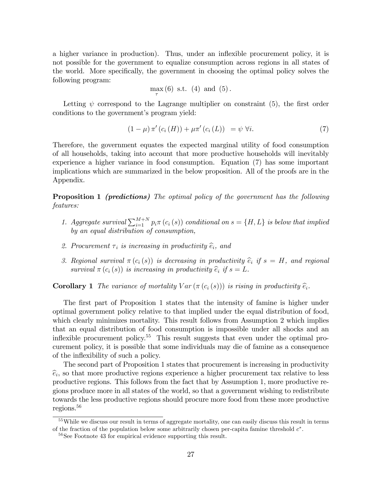a higher variance in production). Thus, under an inflexible procurement policy, it is not possible for the government to equalize consumption across regions in all states of the world. More specifically, the government in choosing the optimal policy solves the following program:

$$
\max_{\tau}(6) \text{ s.t. } (4) \text{ and } (5).
$$

Letting  $\psi$  correspond to the Lagrange multiplier on constraint (5), the first order conditions to the government's program yield:

$$
(1 - \mu) \pi' (c_i(H)) + \mu \pi' (c_i(L)) = \psi \ \forall i. \tag{7}
$$

Therefore, the government equates the expected marginal utility of food consumption of all households, taking into account that more productive households will inevitably experience a higher variance in food consumption. Equation (7) has some important implications which are summarized in the below proposition. All of the proofs are in the Appendix.

**Proposition 1** (predictions) The optimal policy of the government has the following features:

- 1. Aggregate survival  $\sum_{i=1}^{M+N} p_i \pi(c_i(s))$  conditional on  $s = \{H, L\}$  is below that implied by an equal distribution of consumption,
- 2. Procurement  $\tau_i$  is increasing in productivity  $\widehat{e}_i$ , and
- 3. Regional survival  $\pi(c_i(s))$  is decreasing in productivity  $\hat{e}_i$  if  $s = H$ , and regional survival  $\pi(c_i(s))$  is increasing in productivity  $\widehat{e}_i$  if  $s = L$ .

**Corollary 1** The variance of mortality  $Var(\pi(c_i(s)))$  is rising in productivity  $\hat{e}_i$ .

The first part of Proposition 1 states that the intensity of famine is higher under optimal government policy relative to that implied under the equal distribution of food, which clearly minimizes mortality. This result follows from Assumption 2 which implies that an equal distribution of food consumption is impossible under all shocks and an inflexible procurement policy.<sup>55</sup> This result suggests that even under the optimal procurement policy, it is possible that some individuals may die of famine as a consequence of the inflexibility of such a policy.

The second part of Proposition 1 states that procurement is increasing in productivity  $\hat{e}_i$ , so that more productive regions experience a higher procurement tax relative to less productive regions. This follows from the fact that by Assumption 1, more productive regions produce more in all states of the world, so that a government wishing to redistribute towards the less productive regions should procure more food from these more productive regions.<sup>56</sup>

<sup>55</sup>While we discuss our result in terms of aggregate mortality, one can easily discuss this result in terms of the fraction of the population below some arbitrarily chosen per-capita famine threshold  $c^*$ .

<sup>56</sup>See Footnote 43 for empirical evidence supporting this result.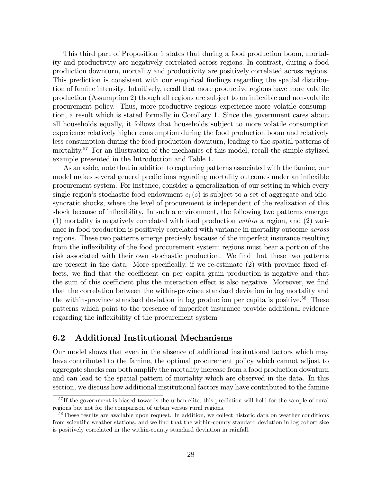This third part of Proposition 1 states that during a food production boom, mortality and productivity are negatively correlated across regions. In contrast, during a food production downturn, mortality and productivity are positively correlated across regions. This prediction is consistent with our empirical findings regarding the spatial distribution of famine intensity. Intuitively, recall that more productive regions have more volatile production (Assumption 2) though all regions are subject to an ináexible and non-volatile procurement policy. Thus, more productive regions experience more volatile consumption, a result which is stated formally in Corollary 1. Since the government cares about all households equally, it follows that households subject to more volatile consumption experience relatively higher consumption during the food production boom and relatively less consumption during the food production downturn, leading to the spatial patterns of mortality.<sup>57</sup> For an illustration of the mechanics of this model, recall the simple stylized example presented in the Introduction and Table 1.

As an aside, note that in addition to capturing patterns associated with the famine, our model makes several general predictions regarding mortality outcomes under an inflexible procurement system. For instance, consider a generalization of our setting in which every single region's stochastic food endowment  $e_i(s)$  is subject to a set of aggregate and idiosyncratic shocks, where the level of procurement is independent of the realization of this shock because of inflexibility. In such a environment, the following two patterns emerge: (1) mortality is negatively correlated with food production within a region, and (2) variance in food production is positively correlated with variance in mortality outcome across regions. These two patterns emerge precisely because of the imperfect insurance resulting from the inflexibility of the food procurement system; regions must bear a portion of the risk associated with their own stochastic production. We find that these two patterns are present in the data. More specifically, if we re-estimate  $(2)$  with province fixed effects, we find that the coefficient on per capita grain production is negative and that the sum of this coefficient plus the interaction effect is also negative. Moreover, we find that the correlation between the within-province standard deviation in log mortality and the within-province standard deviation in log production per capita is positive.<sup>58</sup> These patterns which point to the presence of imperfect insurance provide additional evidence regarding the inflexibility of the procurement system

## 6.2 Additional Institutional Mechanisms

Our model shows that even in the absence of additional institutional factors which may have contributed to the famine, the optimal procurement policy which cannot adjust to aggregate shocks can both amplify the mortality increase from a food production downturn and can lead to the spatial pattern of mortality which are observed in the data. In this section, we discuss how additional institutional factors may have contributed to the famine

<sup>&</sup>lt;sup>57</sup>If the government is biased towards the urban elite, this prediction will hold for the sample of rural regions but not for the comparison of urban versus rural regions.

 $58$ These results are available upon request. In addition, we collect historic data on weather conditions from scientific weather stations, and we find that the within-county standard deviation in log cohort size is positively correlated in the within-county standard deviation in rainfall.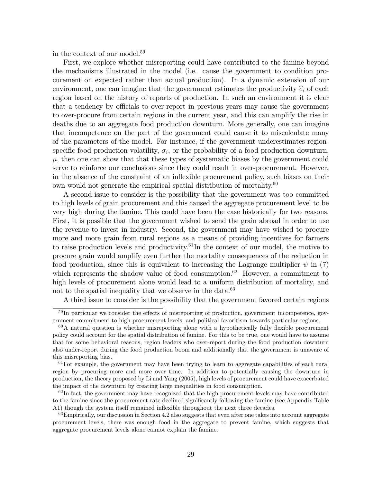in the context of our model.<sup>59</sup>

First, we explore whether misreporting could have contributed to the famine beyond the mechanisms illustrated in the model (i.e. cause the government to condition procurement on expected rather than actual production). In a dynamic extension of our environment, one can imagine that the government estimates the productivity  $\hat{e}_i$  of each region based on the history of reports of production. In such an environment it is clear that a tendency by officials to over-report in previous years may cause the government to over-procure from certain regions in the current year, and this can amplify the rise in deaths due to an aggregate food production downturn. More generally, one can imagine that incompetence on the part of the government could cause it to miscalculate many of the parameters of the model. For instance, if the government underestimates regionspecific food production volatility,  $\sigma_i$ , or the probability of a food production downturn,  $\mu$ , then one can show that that these types of systematic biases by the government could serve to reinforce our conclusions since they could result in over-procurement. However, in the absence of the constraint of an inflexible procurement policy, such biases on their own would not generate the empirical spatial distribution of mortality.<sup>60</sup>

A second issue to consider is the possibility that the government was too committed to high levels of grain procurement and this caused the aggregate procurement level to be very high during the famine. This could have been the case historically for two reasons. First, it is possible that the government wished to send the grain abroad in order to use the revenue to invest in industry. Second, the government may have wished to procure more and more grain from rural regions as a means of providing incentives for farmers to raise production levels and productivity.<sup>61</sup>In the context of our model, the motive to procure grain would amplify even further the mortality consequences of the reduction in food production, since this is equivalent to increasing the Lagrange multiplier  $\psi$  in (7) which represents the shadow value of food consumption.<sup>62</sup> However, a commitment to high levels of procurement alone would lead to a uniform distribution of mortality, and not to the spatial inequality that we observe in the data.<sup>63</sup>

A third issue to consider is the possibility that the government favored certain regions

 $59$  In particular we consider the effects of misreporting of production, government incompetence, government commitment to high procurement levels, and political favoritism towards particular regions.

 $60A$  natural question is whether misreporting alone with a hypothetically fully flexible procurement policy could account for the spatial distribution of famine. For this to be true, one would have to assume that for some behavioral reasons, region leaders who over-report during the food production downturn also under-report during the food production boom and additionally that the government is unaware of this misreporting bias.

 $61$  For example, the government may have been trying to learn to aggregate capabilities of each rural region by procuring more and more over time. In addition to potentially causing the downturn in production, the theory proposed by Li and Yang (2005), high levels of procurement could have exacerbated the impact of the downturn by creating large inequalities in food consumption.

 $62$ In fact, the government may have recognized that the high procurement levels may have contributed to the famine since the procurement rate declined significantly following the famine (see Appendix Table A1) though the system itself remained inflexible throughout the next three decades.

 $63$ Empirically, our discussion in Section 4.2 also suggests that even after one takes into account aggregate procurement levels, there was enough food in the aggregate to prevent famine, which suggests that aggregate procurement levels alone cannot explain the famine.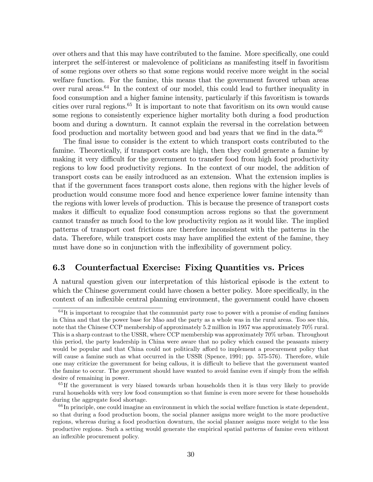over others and that this may have contributed to the famine. More specifically, one could interpret the self-interest or malevolence of politicians as manifesting itself in favoritism of some regions over others so that some regions would receive more weight in the social welfare function. For the famine, this means that the government favored urban areas over rural areas. $64$  In the context of our model, this could lead to further inequality in food consumption and a higher famine intensity, particularly if this favoritism is towards cities over rural regions.<sup>65</sup> It is important to note that favoritism on its own would cause some regions to consistently experience higher mortality both during a food production boom and during a downturn. It cannot explain the reversal in the correlation between food production and mortality between good and bad years that we find in the data. $66$ 

The final issue to consider is the extent to which transport costs contributed to the famine. Theoretically, if transport costs are high, then they could generate a famine by making it very difficult for the government to transfer food from high food productivity regions to low food productivity regions. In the context of our model, the addition of transport costs can be easily introduced as an extension. What the extension implies is that if the government faces transport costs alone, then regions with the higher levels of production would consume more food and hence experience lower famine intensity than the regions with lower levels of production. This is because the presence of transport costs makes it difficult to equalize food consumption across regions so that the government cannot transfer as much food to the low productivity region as it would like. The implied patterns of transport cost frictions are therefore inconsistent with the patterns in the data. Therefore, while transport costs may have amplified the extent of the famine, they must have done so in conjunction with the inflexibility of government policy.

## 6.3 Counterfactual Exercise: Fixing Quantities vs. Prices

A natural question given our interpretation of this historical episode is the extent to which the Chinese government could have chosen a better policy. More specifically, in the context of an inflexible central planning environment, the government could have chosen

 $64$ It is important to recognize that the communist party rose to power with a promise of ending famines in China and that the power base for Mao and the party as a whole was in the rural areas. Too see this, note that the Chinese CCP membership of approximately 5.2 million in 1957 was approximately 70% rural. This is a sharp contrast to the USSR, where CCP membership was approximately 70% urban. Throughout this period, the party leadership in China were aware that no policy which caused the peasants misery would be popular and that China could not politically afford to implement a procurement policy that will cause a famine such as what occurred in the USSR (Spence, 1991; pp. 575-576). Therefore, while one may criticize the government for being callous, it is difficult to believe that the government wanted the famine to occur. The government should have wanted to avoid famine even if simply from the selfish desire of remaining in power.

<sup>&</sup>lt;sup>65</sup>If the government is very biased towards urban households then it is thus very likely to provide rural households with very low food consumption so that famine is even more severe for these households during the aggregate food shortage.

 $66$  In principle, one could imagine an environment in which the social welfare function is state dependent, so that during a food production boom, the social planner assigns more weight to the more productive regions, whereas during a food production downturn, the social planner assigns more weight to the less productive regions. Such a setting would generate the empirical spatial patterns of famine even without an inflexible procurement policy.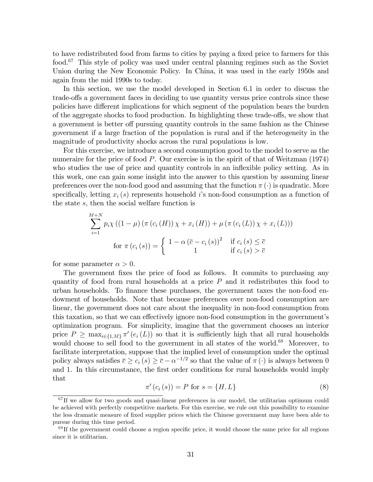to have redistributed food from farms to cities by paying a fixed price to farmers for this food.<sup>67</sup> This style of policy was used under central planning regimes such as the Soviet Union during the New Economic Policy. In China, it was used in the early 1950s and again from the mid 1990s to today.

In this section, we use the model developed in Section 6.1 in order to discuss the trade-offs a government faces in deciding to use quantity versus price controls since these policies have different implications for which segment of the population bears the burden of the aggregate shocks to food production. In highlighting these trade-offs, we show that a government is better of pursuing quantity controls in the same fashion as the Chinese government if a large fraction of the population is rural and if the heterogeneity in the magnitude of productivity shocks across the rural populations is low.

For this exercise, we introduce a second consumption good to the model to serve as the numeraire for the price of food P. Our exercise is in the spirit of that of Weitzman (1974) who studies the use of price and quantity controls in an inflexible policy setting. As in this work, one can gain some insight into the answer to this question by assuming linear preferences over the non-food good and assuming that the function  $\pi(\cdot)$  is quadratic. More specifically, letting  $x_i(s)$  represents household is non-food consumption as a function of the state s, then the social welfare function is

$$
\sum_{i=1}^{M+N} p_i \chi((1-\mu)\left(\pi(c_i(H))\chi + x_i(H)\right) + \mu\left(\pi(c_i(L))\chi + x_i(L)\right))
$$
  
for  $\pi(c_i(s)) = \begin{cases} 1 - \alpha \left(\overline{c} - c_i(s)\right)^2 & \text{if } c_i(s) \le \overline{c} \\ 1 & \text{if } c_i(s) > \overline{c} \end{cases}$ 

for some parameter  $\alpha > 0$ .

The government fixes the price of food as follows. It commits to purchasing any quantity of food from rural households at a price  $P$  and it redistributes this food to urban households. To finance these purchases, the government taxes the non-food endowment of households. Note that because preferences over non-food consumption are linear, the government does not care about the inequality in non-food consumption from this taxation, so that we can effectively ignore non-food consumption in the government's optimization program. For simplicity, imagine that the government chooses an interior price  $P \ge \max_{i \in \{1,M\}} \pi'(e_i(L))$  so that it is sufficiently high that all rural households would choose to sell food to the government in all states of the world.<sup>68</sup> Moreover, to facilitate interpretation, suppose that the implied level of consumption under the optimal policy always satisfies  $\overline{c} \geq c_i(s) \geq \overline{c} - \alpha^{-1/2}$  so that the value of  $\pi(\cdot)$  is always between 0 and 1. In this circumstance, the first order conditions for rural households would imply that

$$
\pi'(c_i(s)) = P \text{ for } s = \{H, L\}
$$
\n(8)

 $67$  If we allow for two goods and quasi-linear preferences in our model, the utilitarian optimum could be achieved with perfectly competitive markets. For this exercise, we rule out this possibility to examine the less dramatic measure of Öxed supplier prices which the Chinese government may have been able to pursue during this time period.

 $68$  If the government could choose a region specific price, it would choose the same price for all regions since it is utilitarian.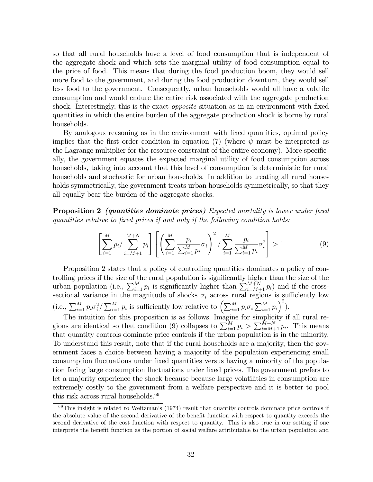so that all rural households have a level of food consumption that is independent of the aggregate shock and which sets the marginal utility of food consumption equal to the price of food. This means that during the food production boom, they would sell more food to the government, and during the food production downturn, they would sell less food to the government. Consequently, urban households would all have a volatile consumption and would endure the entire risk associated with the aggregate production shock. Interestingly, this is the exact *opposite* situation as in an environment with fixed quantities in which the entire burden of the aggregate production shock is borne by rural households.

By analogous reasoning as in the environment with Öxed quantities, optimal policy implies that the first order condition in equation (7) (where  $\psi$  must be interpreted as the Lagrange multiplier for the resource constraint of the entire economy). More specifically, the government equates the expected marginal utility of food consumption across households, taking into account that this level of consumption is deterministic for rural households and stochastic for urban households. In addition to treating all rural households symmetrically, the government treats urban households symmetrically, so that they all equally bear the burden of the aggregate shocks.

Proposition 2 *(quantities dominate prices)* Expected mortality is lower under fixed quantities relative to fixed prices if and only if the following condition holds:

$$
\left[\sum_{i=1}^{M} p_i / \sum_{i=M+1}^{M+N} p_i\right] \left[\left(\sum_{i=1}^{M} \frac{p_i}{\sum_{i=1}^{M} p_i} \sigma_i\right)^2 / \sum_{i=1}^{M} \frac{p_i}{\sum_{i=1}^{M} p_i} \sigma_i^2\right] > 1
$$
\n(9)

Proposition 2 states that a policy of controlling quantities dominates a policy of controlling prices if the size of the rural population is significantly higher than the size of the urban population (i.e.,  $\sum_{i=1}^{M} p_i$  is significantly higher than  $\sum_{i=M+1}^{M+N} p_i$ ) and if the crosssectional variance in the magnitude of shocks  $\sigma_i$  across rural regions is sufficiently low (i.e.,  $\sum_{i=1}^{M} p_i \sigma_i^2 / \sum_{i=1}^{M} p_i$  is sufficiently low relative to  $\left(\sum_{i=1}^{M} p_i \sigma_i \sum_{i=1}^{M} p_i\right)^2$ ).

The intuition for this proposition is as follows. Imagine for simplicity if all rural regions are identical so that condition (9) collapses to  $\sum_{i=1}^{M} p_i > \sum_{i=M+1}^{M+N} p_i$ . This means that quantity controls dominate price controls if the urban population is in the minority. To understand this result, note that if the rural households are a majority, then the government faces a choice between having a majority of the population experiencing small consumption fluctuations under fixed quantities versus having a minority of the population facing large consumption fluctuations under fixed prices. The government prefers to let a majority experience the shock because because large volatilities in consumption are extremely costly to the government from a welfare perspective and it is better to pool this risk across rural households.<sup>69</sup>

 $69$ This insight is related to Weitzman's (1974) result that quantity controls dominate price controls if the absolute value of the second derivative of the benefit function with respect to quantity exceeds the second derivative of the cost function with respect to quantity. This is also true in our setting if one interprets the benefit function as the portion of social welfare attributable to the urban population and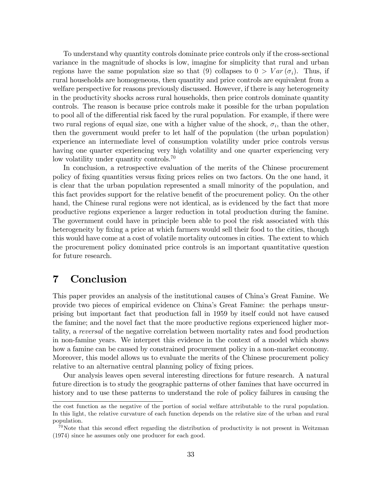To understand why quantity controls dominate price controls only if the cross-sectional variance in the magnitude of shocks is low, imagine for simplicity that rural and urban regions have the same population size so that (9) collapses to  $0 > Var(\sigma_i)$ . Thus, if rural households are homogeneous, then quantity and price controls are equivalent from a welfare perspective for reasons previously discussed. However, if there is any heterogeneity in the productivity shocks across rural households, then price controls dominate quantity controls. The reason is because price controls make it possible for the urban population to pool all of the differential risk faced by the rural population. For example, if there were two rural regions of equal size, one with a higher value of the shock,  $\sigma_i$ , than the other, then the government would prefer to let half of the population (the urban population) experience an intermediate level of consumption volatility under price controls versus having one quarter experiencing very high volatility and one quarter experiencing very low volatility under quantity controls.<sup>70</sup>

In conclusion, a retrospective evaluation of the merits of the Chinese procurement policy of Öxing quantities versus Öxing prices relies on two factors. On the one hand, it is clear that the urban population represented a small minority of the population, and this fact provides support for the relative benefit of the procurement policy. On the other hand, the Chinese rural regions were not identical, as is evidenced by the fact that more productive regions experience a larger reduction in total production during the famine. The government could have in principle been able to pool the risk associated with this heterogeneity by fixing a price at which farmers would sell their food to the cities, though this would have come at a cost of volatile mortality outcomes in cities. The extent to which the procurement policy dominated price controls is an important quantitative question for future research.

## 7 Conclusion

This paper provides an analysis of the institutional causes of Chinaís Great Famine. We provide two pieces of empirical evidence on Chinaís Great Famine: the perhaps unsurprising but important fact that production fall in 1959 by itself could not have caused the famine; and the novel fact that the more productive regions experienced higher mortality, a reversal of the negative correlation between mortality rates and food production in non-famine years. We interpret this evidence in the context of a model which shows how a famine can be caused by constrained procurement policy in a non-market economy. Moreover, this model allows us to evaluate the merits of the Chinese procurement policy relative to an alternative central planning policy of fixing prices.

Our analysis leaves open several interesting directions for future research. A natural future direction is to study the geographic patterns of other famines that have occurred in history and to use these patterns to understand the role of policy failures in causing the

the cost function as the negative of the portion of social welfare attributable to the rural population. In this light, the relative curvature of each function depends on the relative size of the urban and rural population.

 $^{70}$ Note that this second effect regarding the distribution of productivity is not present in Weitzman (1974) since he assumes only one producer for each good.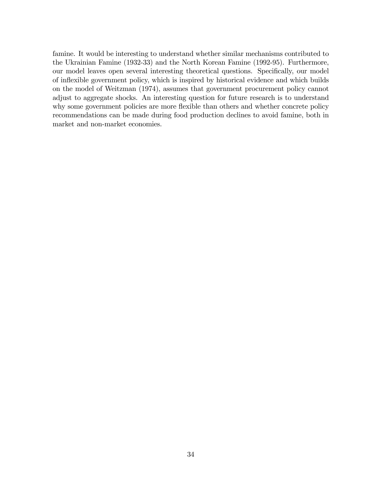famine. It would be interesting to understand whether similar mechanisms contributed to the Ukrainian Famine (1932-33) and the North Korean Famine (1992-95). Furthermore, our model leaves open several interesting theoretical questions. Specifically, our model of ináexible government policy, which is inspired by historical evidence and which builds on the model of Weitzman (1974), assumes that government procurement policy cannot adjust to aggregate shocks. An interesting question for future research is to understand why some government policies are more flexible than others and whether concrete policy recommendations can be made during food production declines to avoid famine, both in market and non-market economies.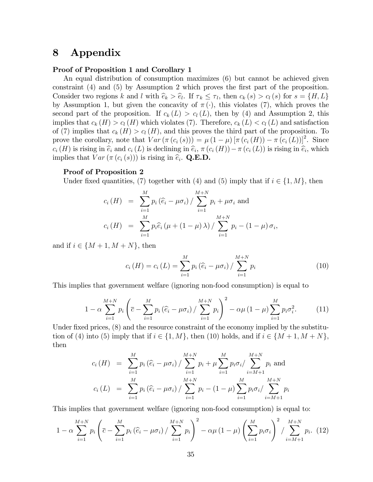## 8 Appendix

#### Proof of Proposition 1 and Corollary 1

An equal distribution of consumption maximizes (6) but cannot be achieved given constraint (4) and (5) by Assumption 2 which proves the first part of the proposition. Consider two regions k and l with  $\hat{e}_k > \hat{e}_l$ . If  $\tau_k \leq \tau_l$ , then  $c_k(s) > c_l(s)$  for  $s = \{H, L\}$ by Assumption 1, but given the concavity of  $\pi(\cdot)$ , this violates (7), which proves the second part of the proposition. If  $c_k(L) > c_l(L)$ , then by (4) and Assumption 2, this implies that  $c_k(H) > c_l(H)$  which violates (7). Therefore,  $c_k(L) < c_l(L)$  and satisfaction of (7) implies that  $c_k(H) > c_l(H)$ , and this proves the third part of the proposition. To prove the corollary, note that  $Var\left(\pi\left(c_i\left(s\right)\right)\right) = \mu\left(1-\mu\right)\left[\pi\left(c_i\left(H\right)\right) - \pi\left(c_i\left(L\right)\right)\right]^2$ . Since  $c_i(H)$  is rising in  $\widehat{e}_i$  and  $c_i(L)$  is declining in  $\widehat{e}_i$ ,  $\pi(c_i(H)) - \pi(c_i(L))$  is rising in  $\widehat{e}_i$ , which implies that  $Var\left(\pi\left(c_i\left(s\right)\right)\right)$  is rising in  $\widehat{e}_i$ . Q.E.D.

#### Proof of Proposition 2

Under fixed quantities, (7) together with (4) and (5) imply that if  $i \in \{1, M\}$ , then

$$
c_i(H) = \sum_{i=1}^{M} p_i (\hat{e}_i - \mu \sigma_i) / \sum_{i=1}^{M+N} p_i + \mu \sigma_i \text{ and}
$$
  

$$
c_i(H) = \sum_{i=1}^{M} p_i \hat{e}_i (\mu + (1 - \mu) \lambda) / \sum_{i=1}^{M+N} p_i - (1 - \mu) \sigma_i,
$$

and if  $i \in \{M + 1, M + N\}$ , then

$$
c_i(H) = c_i(L) = \sum_{i=1}^{M} p_i (\hat{e}_i - \mu \sigma_i) / \sum_{i=1}^{M+N} p_i
$$
 (10)

This implies that government welfare (ignoring non-food consumption) is equal to

$$
1 - \alpha \sum_{i=1}^{M+N} p_i \left( \overline{c} - \sum_{i=1}^{M} p_i \left( \widehat{e}_i - \mu \sigma_i \right) / \sum_{i=1}^{M+N} p_i \right)^2 - \alpha \mu \left( 1 - \mu \right) \sum_{i=1}^{M} p_i \sigma_i^2.
$$
 (11)

Under fixed prices,  $(8)$  and the resource constraint of the economy implied by the substitution of (4) into (5) imply that if  $i \in \{1, M\}$ , then (10) holds, and if  $i \in \{M+1, M+N\}$ , then

$$
c_i(H) = \sum_{i=1}^{M} p_i (\hat{e}_i - \mu \sigma_i) / \sum_{i=1}^{M+N} p_i + \mu \sum_{i=1}^{M} p_i \sigma_i / \sum_{i=M+1}^{M+N} p_i
$$
 and  

$$
c_i(L) = \sum_{i=1}^{M} p_i (\hat{e}_i - \mu \sigma_i) / \sum_{i=1}^{M+N} p_i - (1 - \mu) \sum_{i=1}^{M} p_i \sigma_i / \sum_{i=M+1}^{M+N} p_i
$$

This implies that government welfare (ignoring non-food consumption) is equal to:

$$
1 - \alpha \sum_{i=1}^{M+N} p_i \left( \bar{c} - \sum_{i=1}^{M} p_i \left( \hat{e}_i - \mu \sigma_i \right) / \sum_{i=1}^{M+N} p_i \right)^2 - \alpha \mu \left( 1 - \mu \right) \left( \sum_{i=1}^{M} p_i \sigma_i \right)^2 / \sum_{i=M+1}^{M+N} p_i. \tag{12}
$$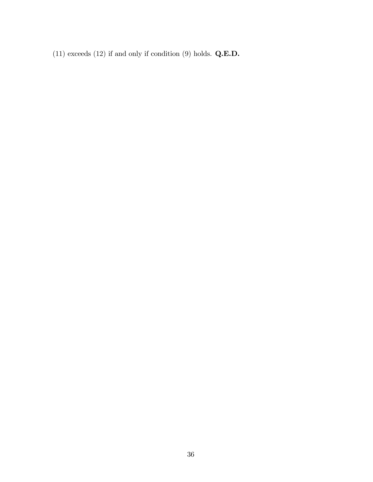(11) exceeds (12) if and only if condition (9) holds.  $Q.E.D.$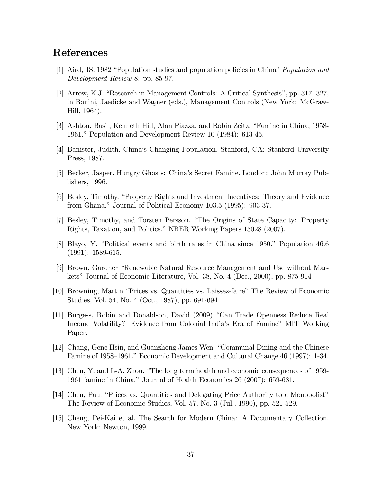## References

- [1] Aird, JS. 1982 "Population studies and population policies in China" *Population and* Development Review 8: pp. 85-97.
- [2] Arrow, K.J. "Research in Management Controls: A Critical Synthesis", pp. 317- 327, in Bonini, Jaedicke and Wagner (eds.), Management Controls (New York: McGraw-Hill, 1964).
- [3] Ashton, Basil, Kenneth Hill, Alan Piazza, and Robin Zeitz. "Famine in China, 1958-1961." Population and Development Review 10 (1984): 613-45.
- [4] Banister, Judith. Chinaís Changing Population. Stanford, CA: Stanford University Press, 1987.
- [5] Becker, Jasper. Hungry Ghosts: Chinaís Secret Famine. London: John Murray Publishers, 1996.
- [6] Besley, Timothy. "Property Rights and Investment Incentives: Theory and Evidence from Ghana." Journal of Political Economy  $103.5$  (1995): 903-37.
- [7] Besley, Timothy, and Torsten Persson. "The Origins of State Capacity: Property Rights, Taxation, and Politics." NBER Working Papers 13028 (2007).
- [8] Blayo, Y. "Political events and birth rates in China since 1950." Population 46.6 (1991): 1589-615.
- [9] Brown, Gardner "Renewable Natural Resource Management and Use without Markets" Journal of Economic Literature, Vol. 38, No. 4 (Dec., 2000), pp. 875-914
- [10] Browning, Martin "Prices vs. Quantities vs. Laissez-faire" The Review of Economic Studies, Vol. 54, No. 4 (Oct., 1987), pp. 691-694
- [11] Burgess, Robin and Donaldson, David (2009) "Can Trade Openness Reduce Real Income Volatility? Evidence from Colonial Indiaís Era of Famineî MIT Working Paper.
- [12] Chang, Gene Hsin, and Guanzhong James Wen. "Communal Dining and the Chinese Famine of 1958–1961." Economic Development and Cultural Change 46 (1997): 1-34.
- [13] Chen, Y. and L-A. Zhou. "The long term health and economic consequences of 1959-1961 famine in China." Journal of Health Economics 26 (2007): 659-681.
- [14] Chen, Paul "Prices vs. Quantities and Delegating Price Authority to a Monopolist" The Review of Economic Studies, Vol. 57, No. 3 (Jul., 1990), pp. 521-529.
- [15] Cheng, Pei-Kai et al. The Search for Modern China: A Documentary Collection. New York: Newton, 1999.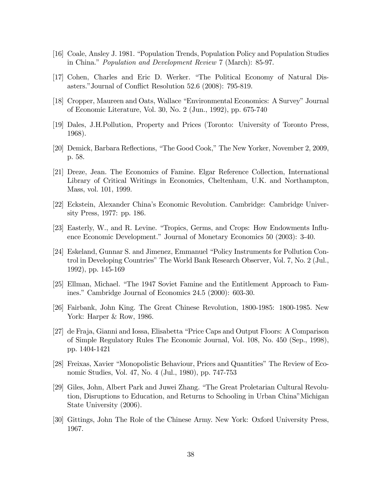- [16] Coale, Ansley J. 1981. "Population Trends, Population Policy and Population Studies in China." *Population and Development Review* 7 (March): 85-97.
- [17] Cohen, Charles and Eric D. Werker. "The Political Economy of Natural Disasters." Journal of Conflict Resolution 52.6 (2008): 795-819.
- [18] Cropper, Maureen and Oats, Wallace "Environmental Economics: A Survey" Journal of Economic Literature, Vol. 30, No. 2 (Jun., 1992), pp. 675-740
- [19] Dales, J.H.Pollution, Property and Prices (Toronto: University of Toronto Press, 1968).
- [20] Demick, Barbara Reflections, "The Good Cook," The New Yorker, November 2, 2009, p. 58.
- [21] Dreze, Jean. The Economics of Famine. Elgar Reference Collection, International Library of Critical Writings in Economics, Cheltenham, U.K. and Northampton, Mass, vol. 101, 1999.
- [22] Eckstein, Alexander Chinaís Economic Revolution. Cambridge: Cambridge University Press, 1977: pp. 186.
- [23] Easterly, W., and R. Levine. "Tropics, Germs, and Crops: How Endowments Influence Economic Development." Journal of Monetary Economics 50 (2003): 3-40.
- [24] Eskeland, Gunnar S. and Jimenez, Emmanuel "Policy Instruments for Pollution Control in Developing Countries" The World Bank Research Observer, Vol. 7, No. 2 (Jul., 1992), pp. 145-169
- [25] Ellman, Michael. "The 1947 Soviet Famine and the Entitlement Approach to Famines." Cambridge Journal of Economics 24.5 (2000): 603-30.
- [26] Fairbank, John King. The Great Chinese Revolution, 1800-1985: 1800-1985. New York: Harper & Row, 1986.
- [27] de Fraja, Gianni and Iossa, Elisabetta "Price Caps and Output Floors: A Comparison of Simple Regulatory Rules The Economic Journal, Vol. 108, No. 450 (Sep., 1998), pp. 1404-1421
- [28] Freixas, Xavier "Monopolistic Behaviour, Prices and Quantities" The Review of Economic Studies, Vol. 47, No. 4 (Jul., 1980), pp. 747-753
- [29] Giles, John, Albert Park and Juwei Zhang. "The Great Proletarian Cultural Revolution, Disruptions to Education, and Returns to Schooling in Urban China"Michigan State University (2006).
- [30] Gittings, John The Role of the Chinese Army. New York: Oxford University Press, 1967.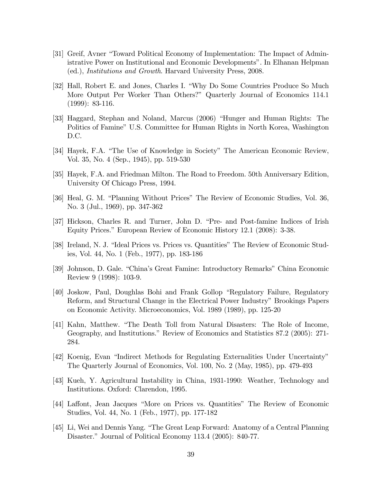- [31] Greif, Avner "Toward Political Economy of Implementation: The Impact of Administrative Power on Institutional and Economic Developmentsî. In Elhanan Helpman (ed.), Institutions and Growth. Harvard University Press, 2008.
- [32] Hall, Robert E. and Jones, Charles I. "Why Do Some Countries Produce So Much More Output Per Worker Than Others?" Quarterly Journal of Economics 114.1 (1999): 83-116.
- [33] Haggard, Stephan and Noland, Marcus (2006) "Hunger and Human Rights: The Politics of Famine" U.S. Committee for Human Rights in North Korea, Washington D.C.
- [34] Hayek, F.A. "The Use of Knowledge in Society" The American Economic Review, Vol. 35, No. 4 (Sep., 1945), pp. 519-530
- [35] Hayek, F.A. and Friedman Milton. The Road to Freedom. 50th Anniversary Edition, University Of Chicago Press, 1994.
- [36] Heal, G. M. "Planning Without Prices" The Review of Economic Studies, Vol. 36, No. 3 (Jul., 1969), pp. 347-362
- [37] Hickson, Charles R. and Turner, John D. "Pre- and Post-famine Indices of Irish Equity Prices." European Review of Economic History 12.1 (2008): 3-38.
- [38] Ireland, N. J. "Ideal Prices vs. Prices vs. Quantities" The Review of Economic Studies, Vol. 44, No. 1 (Feb., 1977), pp. 183-186
- [39] Johnson, D. Gale. "China's Great Famine: Introductory Remarks" China Economic Review 9 (1998): 103-9.
- [40] Joskow, Paul, Doughlas Bohi and Frank Gollop "Regulatory Failure, Regulatory Reform, and Structural Change in the Electrical Power Industry" Brookings Papers on Economic Activity. Microeconomics, Vol. 1989 (1989), pp. 125-20
- [41] Kahn, Matthew. "The Death Toll from Natural Disasters: The Role of Income, Geography, and Institutions." Review of Economics and Statistics 87.2 (2005): 271-284.
- [42] Koenig, Evan "Indirect Methods for Regulating Externalities Under Uncertainty" The Quarterly Journal of Economics, Vol. 100, No. 2 (May, 1985), pp. 479-493
- [43] Kueh, Y. Agricultural Instability in China, 1931-1990: Weather, Technology and Institutions. Oxford: Clarendon, 1995.
- [44] Laffont, Jean Jacques "More on Prices vs. Quantities" The Review of Economic Studies, Vol. 44, No. 1 (Feb., 1977), pp. 177-182
- [45] Li, Wei and Dennis Yang. "The Great Leap Forward: Anatomy of a Central Planning Disaster." Journal of Political Economy 113.4 (2005): 840-77.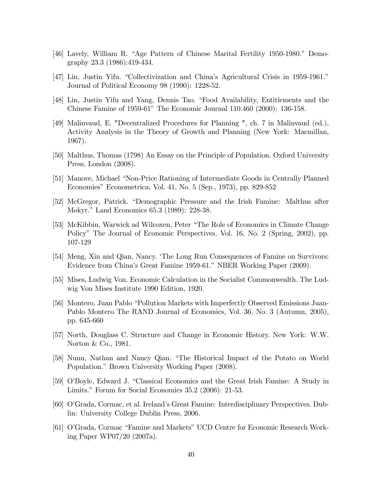- [46] Lavely, William R. "Age Pattern of Chinese Marital Fertility 1950-1980." Demography 23.3 (1986):419-434.
- [47] Lin, Justin Yifu. "Collectivization and China's Agricultural Crisis in 1959-1961." Journal of Political Economy 98 (1990): 1228-52.
- [48] Lin, Justin Yifu and Yang, Dennis Tao. "Food Availability, Entitlements and the Chinese Famine of 1959-61" The Economic Journal 110.460 (2000): 136-158.
- [49] Malinvaud, E. "Decentralized Procedures for Planning ", ch. 7 in Malinvaud (ed.), Activity Analysis in the Theory of Growth and Planning (New York: Macmillan, 1967).
- [50] Malthus, Thomas (1798) An Essay on the Principle of Population. Oxford University Press, London (2008).
- [51] Manove, Michael "Non-Price Rationing of Intermediate Goods in Centrally Planned Economies" Econometrica, Vol. 41, No. 5 (Sep., 1973), pp. 829-852
- [52] McGregor, Patrick. "Demographic Pressure and the Irish Famine: Malthus after Mokyr." Land Economics 65.3 (1989): 228-38.
- [53] McKibbin, Warwick ad Wilcoxen, Peter "The Role of Economics in Climate Change Policyî The Journal of Economic Perspectives, Vol. 16, No. 2 (Spring, 2002), pp. 107-129
- [54] Meng, Xin and Qian, Nancy. The Long Run Consequences of Famine on Survivors: Evidence from China's Great Famine 1959-61." NBER Working Paper (2009).
- [55] Mises, Ludwig Von. Economic Calculation in the Socialist Commonwealth. The Ludwig Von Mises Institute 1990 Edition, 1920.
- [56] Montero, Juan Pablo "Pollution Markets with Imperfectly Observed Emissions Juan-Pablo Montero The RAND Journal of Economics, Vol. 36, No. 3 (Autumn, 2005), pp. 645-660
- [57] North, Douglass C. Structure and Change in Economic History. New York: W.W. Norton & Co., 1981.
- [58] Nunn, Nathan and Nancy Qian. "The Historical Impact of the Potato on World Population." Brown University Working Paper (2008).
- [59] O'Boyle, Edward J. "Classical Economics and the Great Irish Famine: A Study in Limits." Forum for Social Economics  $35.2$  (2006): 21-53.
- [60] OíGrada, Cormac, et al. Irelandís Great Famine: Interdisciplinary Perspectives. Dublin: University College Dublin Press, 2006.
- [61] O'Grada, Cormac "Famine and Markets" UCD Centre for Economic Research Working Paper WP07/20 (2007a).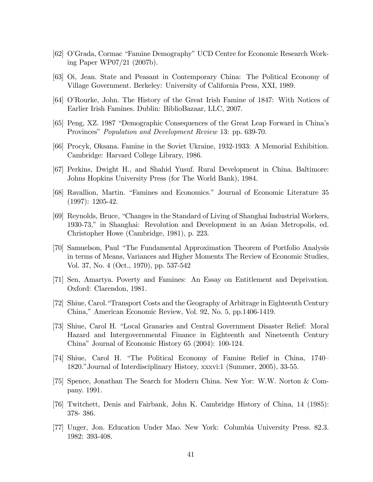- [62] O'Grada, Cormac "Famine Demography" UCD Centre for Economic Research Working Paper WP07/21 (2007b).
- [63] Oi, Jean. State and Peasant in Contemporary China: The Political Economy of Village Government. Berkeley: University of California Press, XXI, 1989.
- [64] OíRourke, John. The History of the Great Irish Famine of 1847: With Notices of Earlier Irish Famines. Dublin: BiblioBazaar, LLC, 2007.
- [65] Peng, XZ. 1987 "Demographic Consequences of the Great Leap Forward in China's Provinces" *Population and Development Review* 13: pp. 639-70.
- [66] Procyk, Oksana. Famine in the Soviet Ukraine, 1932-1933: A Memorial Exhibition. Cambridge: Harvard College Library, 1986.
- [67] Perkins, Dwight H., and Shahid Yusuf. Rural Development in China. Baltimore: Johns Hopkins University Press (for The World Bank), 1984.
- [68] Ravallion, Martin. "Famines and Economics." Journal of Economic Literature 35 (1997): 1205-42.
- [69] Reynolds, Bruce, "Changes in the Standard of Living of Shanghai Industrial Workers, 1930-73," in Shanghai: Revolution and Development in an Asian Metropolis, ed. Christopher Howe (Cambridge, 1981), p. 223.
- [70] Samuelson, Paul "The Fundamental Approximation Theorem of Portfolio Analysis in terms of Means, Variances and Higher Moments The Review of Economic Studies, Vol. 37, No. 4 (Oct., 1970), pp. 537-542
- [71] Sen, Amartya. Poverty and Famines: An Essay on Entitlement and Deprivation. Oxford: Clarendon, 1981.
- [72] Shiue, Carol.ìTransport Costs and the Geography of Arbitrage in Eighteenth Century China," American Economic Review, Vol. 92, No. 5, pp.1406-1419.
- [73] Shiue, Carol H. "Local Granaries and Central Government Disaster Relief: Moral Hazard and Intergovernmental Finance in Eighteenth and Nineteenth Century China" Journal of Economic History  $65$  (2004): 100-124.
- [74] Shiue, Carol H. "The Political Economy of Famine Relief in China, 1740– 1820." Journal of Interdisciplinary History, xxxvi:1 (Summer, 2005), 33-55.
- [75] Spence, Jonathan The Search for Modern China. New Yor: W.W. Norton & Company. 1991.
- [76] Twitchett, Denis and Fairbank, John K. Cambridge History of China, 14 (1985): 378- 386.
- [77] Unger, Jon. Education Under Mao. New York: Columbia University Press. 82.3. 1982: 393-408.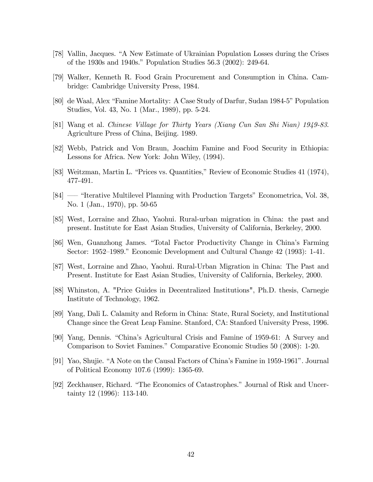- [78] Vallin, Jacques. "A New Estimate of Ukrainian Population Losses during the Crises of the 1930s and 1940s." Population Studies 56.3 (2002): 249-64.
- [79] Walker, Kenneth R. Food Grain Procurement and Consumption in China. Cambridge: Cambridge University Press, 1984.
- [80] de Waal, Alex "Famine Mortality: A Case Study of Darfur, Sudan 1984-5" Population Studies, Vol. 43, No. 1 (Mar., 1989), pp. 5-24.
- [81] Wang et al. Chinese Village for Thirty Years (Xiang Cun San Shi Nian) 1949-83. Agriculture Press of China, Beijing. 1989.
- [82] Webb, Patrick and Von Braun, Joachim Famine and Food Security in Ethiopia: Lessons for Africa. New York: John Wiley, (1994).
- [83] Weitzman, Martin L. "Prices vs. Quantities," Review of Economic Studies 41 (1974), 477-491.
- [84] "Iterative Multilevel Planning with Production Targets" Econometrica, Vol. 38, No. 1 (Jan., 1970), pp. 50-65
- [85] West, Lorraine and Zhao, Yaohui. Rural-urban migration in China: the past and present. Institute for East Asian Studies, University of California, Berkeley, 2000.
- [86] Wen, Guanzhong James. "Total Factor Productivity Change in China's Farming Sector: 1952–1989." Economic Development and Cultural Change  $42$  (1993): 1-41.
- [87] West, Lorraine and Zhao, Yaohui. Rural-Urban Migration in China: The Past and Present. Institute for East Asian Studies, University of California, Berkeley, 2000.
- [88] Whinston, A. "Price Guides in Decentralized Institutions", Ph.D. thesis, Carnegie Institute of Technology, 1962.
- [89] Yang, Dali L. Calamity and Reform in China: State, Rural Society, and Institutional Change since the Great Leap Famine. Stanford, CA: Stanford University Press, 1996.
- [90] Yang, Dennis. "China's Agricultural Crisis and Famine of 1959-61: A Survey and Comparison to Soviet Famines." Comparative Economic Studies 50 (2008): 1-20.
- [91] Yao, Shujie. "A Note on the Causal Factors of China's Famine in 1959-1961". Journal of Political Economy 107.6 (1999): 1365-69.
- [92] Zeckhauser, Richard. "The Economics of Catastrophes." Journal of Risk and Uncertainty 12 (1996): 113-140.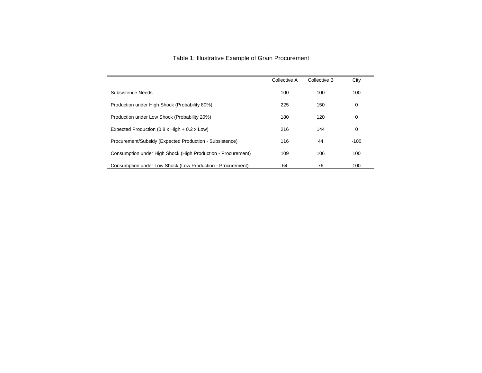| Table 1: Illustrative Example of Grain Procurement |  |  |  |  |  |
|----------------------------------------------------|--|--|--|--|--|
|----------------------------------------------------|--|--|--|--|--|

|                                                              | Collective A | Collective B | City   |
|--------------------------------------------------------------|--------------|--------------|--------|
| Subsistence Needs                                            | 100          | 100          | 100    |
| Production under High Shock (Probability 80%)                | 225          | 150          | 0      |
| Production under Low Shock (Probability 20%)                 | 180          | 120          | 0      |
| Expected Production $(0.8 \times$ High $+ 0.2 \times$ Low)   | 216          | 144          | 0      |
| Procurement/Subsidy (Expected Production - Subsistence)      | 116          | 44           | $-100$ |
| Consumption under High Shock (High Production - Procurement) | 109          | 106          | 100    |
| Consumption under Low Shock (Low Production - Procurement)   | 64           | 76           | 100    |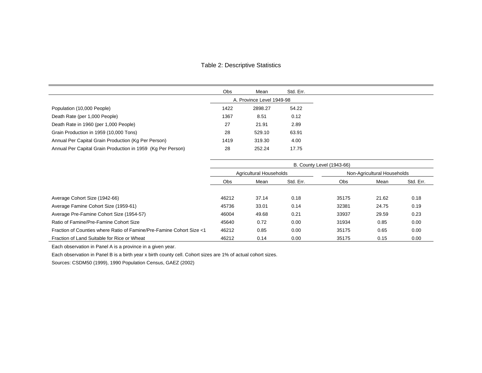#### Table 2: Descriptive Statistics

|                                                             | Obs  | Mean                      | Std. Err. |
|-------------------------------------------------------------|------|---------------------------|-----------|
|                                                             |      | A. Province Level 1949-98 |           |
| Population (10,000 People)                                  | 1422 | 2898.27                   | 54.22     |
| Death Rate (per 1,000 People)                               | 1367 | 8.51                      | 0.12      |
| Death Rate in 1960 (per 1,000 People)                       | 27   | 21.91                     | 2.89      |
| Grain Production in 1959 (10,000 Tons)                      | 28   | 529.10                    | 63.91     |
| Annual Per Capital Grain Production (Kg Per Person)         | 1419 | 319.30                    | 4.00      |
| Annual Per Capital Grain Production in 1959 (Kg Per Person) | 28   | 252.24                    | 17.75     |

|                                                                      | <b>B. County Level (1943-66)</b> |                         |           |            |                             |           |
|----------------------------------------------------------------------|----------------------------------|-------------------------|-----------|------------|-----------------------------|-----------|
|                                                                      |                                  | Agricultural Households |           |            | Non-Agricultural Households |           |
|                                                                      | Obs                              | Mean                    | Std. Err. | <b>Obs</b> | Mean                        | Std. Err. |
|                                                                      |                                  |                         |           |            |                             |           |
| Average Cohort Size (1942-66)                                        | 46212                            | 37.14                   | 0.18      | 35175      | 21.62                       | 0.18      |
| Average Famine Cohort Size (1959-61)                                 | 45736                            | 33.01                   | 0.14      | 32381      | 24.75                       | 0.19      |
| Average Pre-Famine Cohort Size (1954-57)                             | 46004                            | 49.68                   | 0.21      | 33937      | 29.59                       | 0.23      |
| Ratio of Famine/Pre-Famine Cohort Size                               | 45640                            | 0.72                    | 0.00      | 31934      | 0.85                        | 0.00      |
| Fraction of Counties where Ratio of Famine/Pre-Famine Cohort Size <1 | 46212                            | 0.85                    | 0.00      | 35175      | 0.65                        | 0.00      |
| Fraction of Land Suitable for Rice or Wheat                          | 46212                            | 0.14                    | 0.00      | 35175      | 0.15                        | 0.00      |

Each observation in Panel A is a province in a given year.

Each observation in Panel B is a birth year x birth county cell. Cohort sizes are 1% of actual cohort sizes.

Sources: CSDM50 (1999), 1990 Population Census, GAEZ (2002)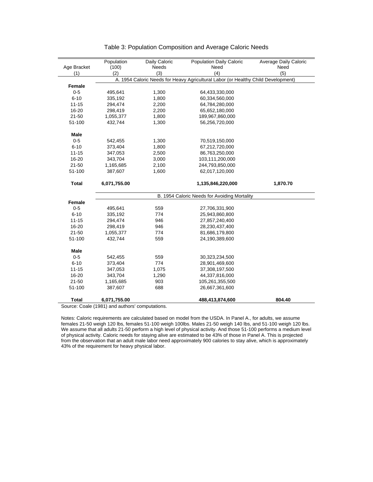|              | Population   | Daily Caloric | <b>Population Daily Caloric</b>                                                   | <b>Average Daily Caloric</b> |
|--------------|--------------|---------------|-----------------------------------------------------------------------------------|------------------------------|
| Age Bracket  | (100)        | Needs         | Need                                                                              | Need                         |
| (1)          | (2)          | (3)           | (4)                                                                               | (5)                          |
|              |              |               | A. 1954 Caloric Needs for Heavy Agricultural Labor (or Healthy Child Development) |                              |
| Female       |              |               |                                                                                   |                              |
| $0 - 5$      | 495,641      | 1,300         | 64,433,330,000                                                                    |                              |
| $6 - 10$     | 335,192      | 1,800         | 60,334,560,000                                                                    |                              |
| $11 - 15$    | 294,474      | 2,200         | 64,784,280,000                                                                    |                              |
| 16-20        | 298,419      | 2,200         | 65,652,180,000                                                                    |                              |
| $21 - 50$    | 1,055,377    | 1,800         | 189,967,860,000                                                                   |                              |
| 51-100       | 432,744      | 1,300         | 56,256,720,000                                                                    |                              |
|              |              |               |                                                                                   |                              |
| Male         |              |               |                                                                                   |                              |
| $0 - 5$      | 542,455      | 1,300         | 70,519,150,000                                                                    |                              |
| $6 - 10$     | 373,404      | 1,800         | 67,212,720,000                                                                    |                              |
| $11 - 15$    | 347,053      | 2,500         | 86,763,250,000                                                                    |                              |
| 16-20        | 343,704      | 3,000         | 103,111,200,000                                                                   |                              |
| $21 - 50$    | 1,165,685    | 2,100         | 244,793,850,000                                                                   |                              |
| 51-100       | 387,607      | 1,600         | 62,017,120,000                                                                    |                              |
|              |              |               |                                                                                   |                              |
| <b>Total</b> | 6,071,755.00 |               | 1,135,846,220,000                                                                 | 1,870.70                     |
|              |              |               |                                                                                   |                              |
|              |              |               | B. 1954 Caloric Needs for Avoiding Mortality                                      |                              |
| Female       |              |               |                                                                                   |                              |
| $0 - 5$      | 495,641      | 559           | 27,706,331,900                                                                    |                              |
| $6 - 10$     | 335,192      | 774           | 25,943,860,800                                                                    |                              |
| $11 - 15$    | 294,474      | 946           | 27,857,240,400                                                                    |                              |
| 16-20        | 298,419      | 946           | 28,230,437,400                                                                    |                              |
| $21 - 50$    | 1,055,377    | 774           | 81,686,179,800                                                                    |                              |
| 51-100       | 432,744      | 559           | 24,190,389,600                                                                    |                              |
|              |              |               |                                                                                   |                              |
| <b>Male</b>  |              |               |                                                                                   |                              |
| $0 - 5$      | 542,455      | 559           | 30,323,234,500                                                                    |                              |
| $6 - 10$     | 373,404      | 774           | 28,901,469,600                                                                    |                              |
| $11 - 15$    | 347,053      | 1,075         | 37,308,197,500                                                                    |                              |
| 16-20        | 343,704      | 1,290         | 44,337,816,000                                                                    |                              |
| $21 - 50$    | 1,165,685    | 903           | 105,261,355,500                                                                   |                              |
| 51-100       | 387,607      | 688           | 26,667,361,600                                                                    |                              |
|              |              |               |                                                                                   |                              |
| <b>Total</b> | 6,071,755.00 |               | 488,413,874,600                                                                   | 804.40                       |

#### Table 3: Population Composition and Average Caloric Needs

Source: Coale (1981) and authors' computations.

Notes: Caloric requirements are calculated based on model from the USDA. In Panel A., for adults, we assume females 21-50 weigh 120 lbs, females 51-100 weigh 100lbs. Males 21-50 weigh 140 lbs, and 51-100 weigh 120 lbs. We assume that all adults 21-50 perform a high level of physical activity. And those 51-100 performs a medium level of physical activity. Caloric needs for staying alive are estimated to be 43% of those in Panel A. This is projected from the observation that an adult male labor need approximately 900 calories to stay alive, which is approximately 43% of the requirement for heavy physical labor.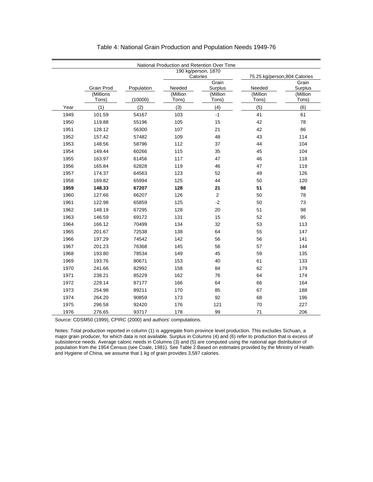|      |            |            |          | National Production and Retention Over Time |                              |                  |
|------|------------|------------|----------|---------------------------------------------|------------------------------|------------------|
|      |            |            |          | 190 kg/person, 1870                         |                              |                  |
|      |            |            |          | Calories                                    | 75.25 kg/person,804 Calories |                  |
|      | Grain Prod | Population | Needed   | Grain<br>Surplus                            | Needed                       | Grain<br>Surplus |
|      | (Millions  |            | (Million | (Million                                    | (Million                     | (Million         |
|      | Tons)      | (10000)    | Tons)    | Tons)                                       | Tons)                        | Tons)            |
| Year | (1)        | (2)        | (3)      | (4)                                         | (5)                          | (6)              |
| 1949 | 101.59     | 54167      | 103      | $-1$                                        | 41                           | 61               |
| 1950 | 119.88     | 55196      | 105      | 15                                          | 42                           | 78               |
| 1951 | 128.12     | 56300      | 107      | 21                                          | 42                           | 86               |
| 1952 | 157.42     | 57482      | 109      | 48                                          | 43                           | 114              |
| 1953 | 148.56     | 58796      | 112      | 37                                          | 44                           | 104              |
| 1954 | 149.44     | 60266      | 115      | 35                                          | 45                           | 104              |
| 1955 | 163.97     | 61456      | 117      | 47                                          | 46                           | 118              |
| 1956 | 165.84     | 62828      | 119      | 46                                          | 47                           | 119              |
| 1957 | 174.37     | 64563      | 123      | 52                                          | 49                           | 126              |
| 1958 | 169.82     | 65994      | 125      | 44                                          | 50                           | 120              |
| 1959 | 148.33     | 67207      | 128      | 21                                          | 51                           | 98               |
| 1960 | 127.66     | 66207      | 126      | $\overline{2}$                              | 50                           | 78               |
| 1961 | 122.98     | 65859      | 125      | $-2$                                        | 50                           | 73               |
| 1962 | 148.19     | 67295      | 128      | 20                                          | 51                           | 98               |
| 1963 | 146.59     | 69172      | 131      | 15                                          | 52                           | 95               |
| 1964 | 166.12     | 70499      | 134      | 32                                          | 53                           | 113              |
| 1965 | 201.67     | 72538      | 138      | 64                                          | 55                           | 147              |
| 1966 | 197.29     | 74542      | 142      | 56                                          | 56                           | 141              |
| 1967 | 201.23     | 76368      | 145      | 56                                          | 57                           | 144              |
| 1968 | 193.80     | 78534      | 149      | 45                                          | 59                           | 135              |
| 1969 | 193.76     | 80671      | 153      | 40                                          | 61                           | 133              |
| 1970 | 241.66     | 82992      | 158      | 84                                          | 62                           | 179              |
| 1971 | 238.21     | 85229      | 162      | 76                                          | 64                           | 174              |
| 1972 | 229.14     | 87177      | 166      | 64                                          | 66                           | 164              |
| 1973 | 254.98     | 89211      | 170      | 85                                          | 67                           | 188              |
| 1974 | 264.20     | 90859      | 173      | 92                                          | 68                           | 196              |
| 1975 | 296.58     | 92420      | 176      | 121                                         | 70                           | 227              |
| 1976 | 276.65     | 93717      | 178      | 99                                          | 71                           | 206              |

#### Table 4: National Grain Production and Population Needs 1949-76

Source: CDSM50 (1999), CPIRC (2000) and authors' computations.

Notes: Total production reported in column (1) is aggregate from province level production. This excludes Sichuan, a major grain producer, for which data is not available. Surplus in Columns (4) and (6) refer to production that is excess of subsistence needs. Average caloric needs in Columns (3) and (5) are computed using the national age distribution of population from the 1954 Census (see Coale, 1981). See Table 2.Based on estimates provided by the Ministry of Health and Hygiene of China, we assume that 1 kg of grain provides 3,587 calories.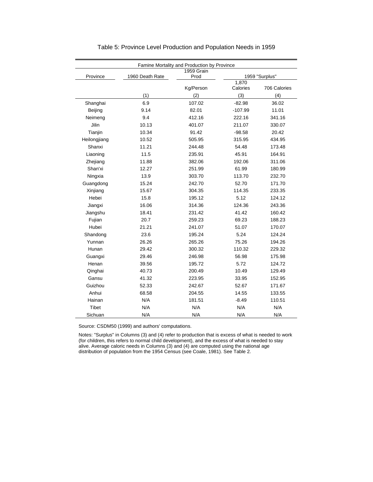|              |                 | Famine Mortality and Production by Province |           |                |
|--------------|-----------------|---------------------------------------------|-----------|----------------|
|              |                 | 1959 Grain                                  |           |                |
| Province     | 1960 Death Rate | Prod                                        | 1,870     | 1959 "Surplus" |
|              |                 | Kg/Person                                   | Calories  | 706 Calories   |
|              | (1)             | (2)                                         | (3)       | (4)            |
| Shanghai     | 6.9             | 107.02                                      | $-82.98$  | 36.02          |
| Beijing      | 9.14            | 82.01                                       | $-107.99$ | 11.01          |
| Neimeng      | 9.4             | 412.16                                      | 222.16    | 341.16         |
| Jilin        | 10.13           | 401.07                                      | 211.07    | 330.07         |
| Tianjin      | 10.34           | 91.42                                       | $-98.58$  | 20.42          |
| Heilongjiang | 10.52           | 505.95                                      | 315.95    | 434.95         |
| Shanxi       | 11.21           | 244.48                                      | 54.48     | 173.48         |
| Liaoning     | 11.5            | 235.91                                      | 45.91     | 164.91         |
| Zhejiang     | 11.88           | 382.06                                      | 192.06    | 311.06         |
| Shan'xi      | 12.27           | 251.99                                      | 61.99     | 180.99         |
| Ningxia      | 13.9            | 303.70                                      | 113.70    | 232.70         |
| Guangdong    | 15.24           | 242.70                                      | 52.70     | 171.70         |
| Xinjiang     | 15.67           | 304.35                                      | 114.35    | 233.35         |
| Hebei        | 15.8            | 195.12                                      | 5.12      | 124.12         |
| Jiangxi      | 16.06           | 314.36                                      | 124.36    | 243.36         |
| Jiangshu     | 18.41           | 231.42                                      | 41.42     | 160.42         |
| Fujian       | 20.7            | 259.23                                      | 69.23     | 188.23         |
| Hubei        | 21.21           | 241.07                                      | 51.07     | 170.07         |
| Shandong     | 23.6            | 195.24                                      | 5.24      | 124.24         |
| Yunnan       | 26.26           | 265.26                                      | 75.26     | 194.26         |
| Hunan        | 29.42           | 300.32                                      | 110.32    | 229.32         |
| Guangxi      | 29.46           | 246.98                                      | 56.98     | 175.98         |
| Henan        | 39.56           | 195.72                                      | 5.72      | 124.72         |
| Qinghai      | 40.73           | 200.49                                      | 10.49     | 129.49         |
| Gansu        | 41.32           | 223.95                                      | 33.95     | 152.95         |
| Guizhou      | 52.33           | 242.67                                      | 52.67     | 171.67         |
| Anhui        | 68.58           | 204.55                                      | 14.55     | 133.55         |
| Hainan       | N/A             | 181.51                                      | $-8.49$   | 110.51         |
| Tibet        | N/A             | N/A                                         | N/A       | N/A            |
| Sichuan      | N/A             | N/A                                         | N/A       | N/A            |

| Table 5: Province Level Production and Population Needs in 1959 |  |  |  |  |  |
|-----------------------------------------------------------------|--|--|--|--|--|
|-----------------------------------------------------------------|--|--|--|--|--|

Source: CSDM50 (1999) and authors' computations.

Notes: "Surplus" in Columns (3) and (4) refer to production that is excess of what is needed to work (for children, this refers to normal child development), and the excess of what is needed to stay alive. Average caloric needs in Columns (3) and (4) are computed using the national age distribution of population from the 1954 Census (see Coale, 1981). See Table 2.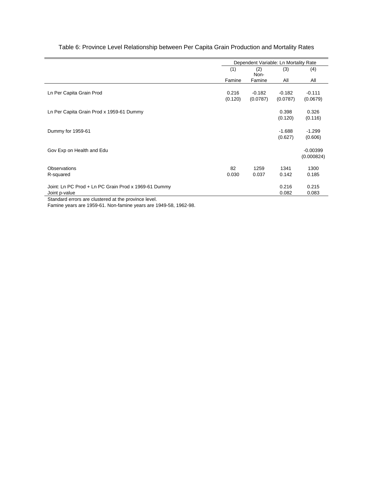|                                                      |         | Dependent Variable: Ln Mortality Rate |          |                          |
|------------------------------------------------------|---------|---------------------------------------|----------|--------------------------|
|                                                      | (1)     | (2)<br>Non-                           | (3)      | (4)                      |
|                                                      | Famine  | Famine                                | All      | All                      |
| Ln Per Capita Grain Prod                             | 0.216   | $-0.182$                              | $-0.182$ | $-0.111$                 |
|                                                      | (0.120) | (0.0787)                              | (0.0787) | (0.0679)                 |
| Ln Per Capita Grain Prod x 1959-61 Dummy             |         |                                       | 0.398    | 0.326                    |
|                                                      |         |                                       | (0.120)  | (0.116)                  |
| Dummy for 1959-61                                    |         |                                       | $-1.688$ | $-1.299$                 |
|                                                      |         |                                       | (0.627)  | (0.606)                  |
| Gov Exp on Health and Edu                            |         |                                       |          | $-0.00399$<br>(0.000824) |
| Observations                                         | 82      | 1259                                  | 1341     | 1300                     |
| R-squared                                            | 0.030   | 0.037                                 | 0.142    | 0.185                    |
| Joint: Ln PC Prod + Ln PC Grain Prod x 1969-61 Dummy |         |                                       | 0.216    | 0.215                    |
| Joint p-value                                        |         |                                       | 0.082    | 0.083                    |

### Table 6: Province Level Relationship between Per Capita Grain Production and Mortality Rates

Standard errors are clustered at the province level.

Famine years are 1959-61. Non-famine years are 1949-58, 1962-98.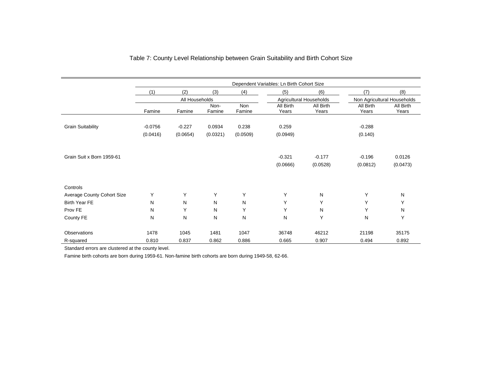|                            |           |                |                |               | Dependent Variables: Ln Birth Cohort Size |                                |                      |                             |
|----------------------------|-----------|----------------|----------------|---------------|-------------------------------------------|--------------------------------|----------------------|-----------------------------|
|                            | (1)       | (2)            | (3)            | (4)           | (5)                                       | (6)                            | (7)                  | (8)                         |
|                            |           | All Households |                |               |                                           | <b>Agricultural Households</b> |                      | Non Agricultural Households |
|                            | Famine    | Famine         | Non-<br>Famine | Non<br>Famine | All Birth<br>Years                        | All Birth<br>Years             | All Birth<br>Years   | All Birth<br>Years          |
| <b>Grain Suitability</b>   | $-0.0756$ | $-0.227$       | 0.0934         | 0.238         | 0.259                                     |                                | $-0.288$             |                             |
|                            | (0.0416)  | (0.0654)       | (0.0321)       | (0.0509)      | (0.0949)                                  |                                | (0.140)              |                             |
| Grain Suit x Born 1959-61  |           |                |                |               | $-0.321$<br>(0.0666)                      | $-0.177$<br>(0.0528)           | $-0.196$<br>(0.0812) | 0.0126<br>(0.0473)          |
| Controls                   |           |                |                |               |                                           |                                |                      |                             |
| Average County Cohort Size | Y         | Y              | Y              | Y             | Y                                         | N                              | Y                    | N                           |
| <b>Birth Year FE</b>       | N         | N              | N              | N             | Υ                                         | Υ                              | Y                    | Υ                           |
| Prov FE                    | Ν         | Y              | N              | Y             | Y                                         | N                              | Y                    | N                           |
| County FE                  | N         | N              | N              | N             | N                                         | Υ                              | N                    | Y                           |
| Observations               | 1478      | 1045           | 1481           | 1047          | 36748                                     | 46212                          | 21198                | 35175                       |
| R-squared                  | 0.810     | 0.837          | 0.862          | 0.886         | 0.665                                     | 0.907                          | 0.494                | 0.892                       |

## Table 7: County Level Relationship between Grain Suitability and Birth Cohort Size

Standard errors are clustered at the county level.

Famine birth cohorts are born during 1959-61. Non-famine birth cohorts are born during 1949-58, 62-66.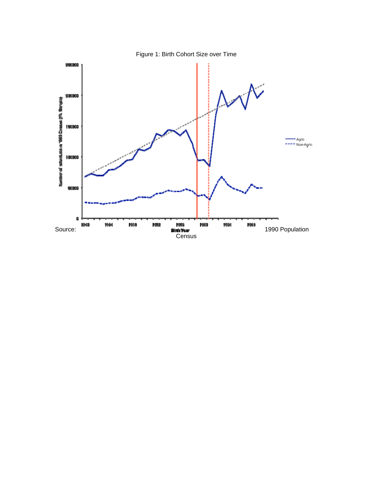

Figure 1: Birth Cohort Size over Time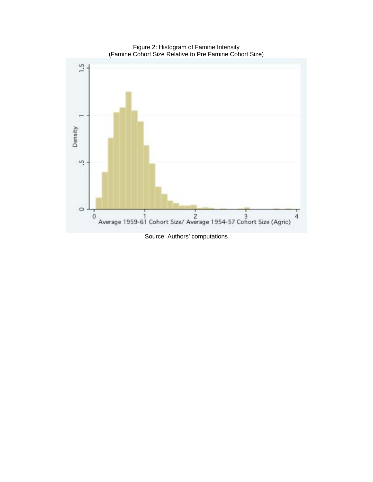

Figure 2: Histogram of Famine Intensity (Famine Cohort Size Relative to Pre Famine Cohort Size)

Source: Authors' computations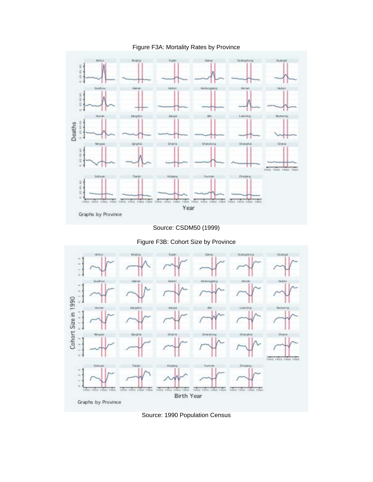Figure F3A: Mortality Rates by Province



Source: CSDM50 (1999)



Figure F3B: Cohort Size by Province

Source: 1990 Population Census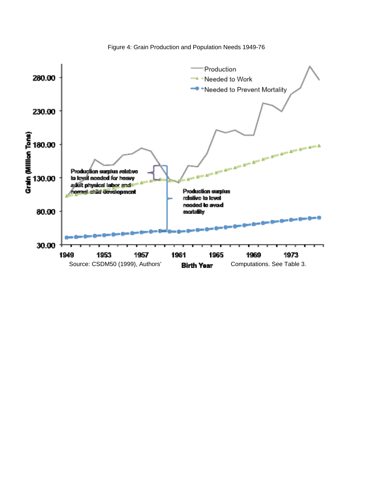Figure 4: Grain Production and Population Needs 1949-76

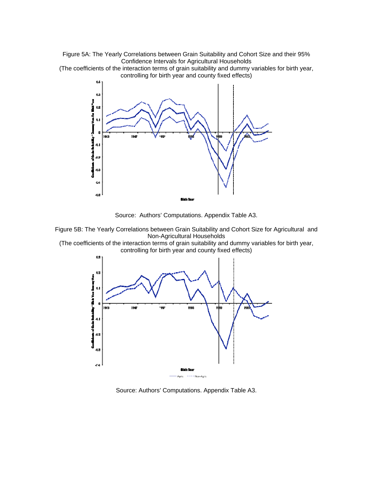Figure 5A: The Yearly Correlations between Grain Suitability and Cohort Size and their 95% Confidence Intervals for Agricultural Households

(The coefficients of the interaction terms of grain suitability and dummy variables for birth year, controlling for birth year and county fixed effects)



Source: Authors' Computations. Appendix Table A3.



(The coefficients of the interaction terms of grain suitability and dummy variables for birth year, controlling for birth year and county fixed effects)



Source: Authors' Computations. Appendix Table A3.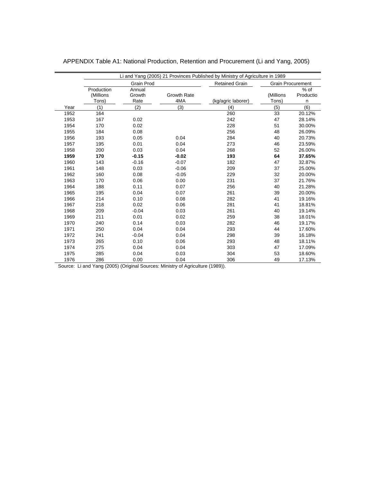|      |                                  |                          |                           | Li and Yang (2005) 21 Provinces Published by Ministry of Agriculture in 1989 |                          |                          |
|------|----------------------------------|--------------------------|---------------------------|------------------------------------------------------------------------------|--------------------------|--------------------------|
|      |                                  | <b>Grain Prod</b>        |                           | <b>Retained Grain</b>                                                        | <b>Grain Procurement</b> |                          |
|      | Production<br>(Millions<br>Tons) | Annual<br>Growth<br>Rate | <b>Growth Rate</b><br>4MA | (kg/agric laborer)                                                           | (Millions<br>Tons)       | $%$ of<br>Productio<br>n |
|      |                                  |                          |                           |                                                                              |                          |                          |
| Year | (1)                              | (2)                      | (3)                       | (4)                                                                          | (5)                      | (6)                      |
| 1952 | 164                              |                          |                           | 260                                                                          | 33                       | 20.12%                   |
| 1953 | 167                              | 0.02                     |                           | 242                                                                          | 47                       | 28.14%                   |
| 1954 | 170                              | 0.02                     |                           | 228                                                                          | 51                       | 30.00%                   |
| 1955 | 184                              | 0.08                     |                           | 256                                                                          | 48                       | 26.09%                   |
| 1956 | 193                              | 0.05                     | 0.04                      | 284                                                                          | 40                       | 20.73%                   |
| 1957 | 195                              | 0.01                     | 0.04                      | 273                                                                          | 46                       | 23.59%                   |
| 1958 | 200                              | 0.03                     | 0.04                      | 268                                                                          | 52                       | 26.00%                   |
| 1959 | 170                              | $-0.15$                  | $-0.02$                   | 193                                                                          | 64                       | 37.65%                   |
| 1960 | 143                              | $-0.16$                  | $-0.07$                   | 182                                                                          | 47                       | 32.87%                   |
| 1961 | 148                              | 0.03                     | $-0.06$                   | 209                                                                          | 37                       | 25.00%                   |
| 1962 | 160                              | 0.08                     | $-0.05$                   | 229                                                                          | 32                       | 20.00%                   |
| 1963 | 170                              | 0.06                     | 0.00                      | 231                                                                          | 37                       | 21.76%                   |
| 1964 | 188                              | 0.11                     | 0.07                      | 256                                                                          | 40                       | 21.28%                   |
| 1965 | 195                              | 0.04                     | 0.07                      | 261                                                                          | 39                       | 20.00%                   |
| 1966 | 214                              | 0.10                     | 0.08                      | 282                                                                          | 41                       | 19.16%                   |
| 1967 | 218                              | 0.02                     | 0.06                      | 281                                                                          | 41                       | 18.81%                   |
| 1968 | 209                              | $-0.04$                  | 0.03                      | 261                                                                          | 40                       | 19.14%                   |
| 1969 | 211                              | 0.01                     | 0.02                      | 259                                                                          | 38                       | 18.01%                   |
| 1970 | 240                              | 0.14                     | 0.03                      | 282                                                                          | 46                       | 19.17%                   |
| 1971 | 250                              | 0.04                     | 0.04                      | 293                                                                          | 44                       | 17.60%                   |
| 1972 | 241                              | $-0.04$                  | 0.04                      | 298                                                                          | 39                       | 16.18%                   |
| 1973 | 265                              | 0.10                     | 0.06                      | 293                                                                          | 48                       | 18.11%                   |
| 1974 | 275                              | 0.04                     | 0.04                      | 303                                                                          | 47                       | 17.09%                   |
| 1975 | 285                              | 0.04                     | 0.03                      | 304                                                                          | 53                       | 18.60%                   |
| 1976 | 286                              | 0.00                     | 0.04                      | 306                                                                          | 49                       | 17.13%                   |

|  | APPENDIX Table A1: National Production, Retention and Procurement (Li and Yang, 2005) |
|--|---------------------------------------------------------------------------------------|
|--|---------------------------------------------------------------------------------------|

Source: Li and Yang (2005) (Original Sources: Ministry of Agriculture (1989)).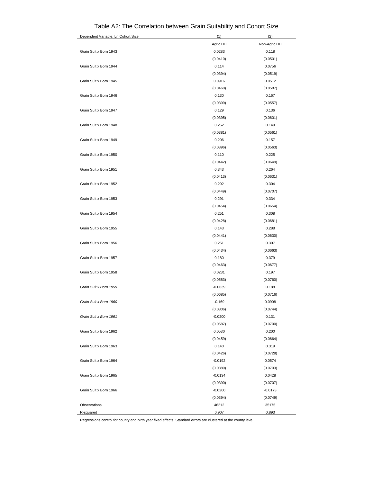| Dependent Variable: Ln Cohort Size | (1)       | (2)          |
|------------------------------------|-----------|--------------|
|                                    | Agric HH  | Non-Agric HH |
| Grain Suit x Born 1943             | 0.0283    | 0.118        |
|                                    | (0.0410)  | (0.0501)     |
| Grain Suit x Born 1944             | 0.114     | 0.0756       |
|                                    | (0.0394)  | (0.0519)     |
| Grain Suit x Born 1945             | 0.0916    | 0.0512       |
|                                    | (0.0460)  | (0.0587)     |
| Grain Suit x Born 1946             | 0.130     | 0.167        |
|                                    | (0.0399)  | (0.0557)     |
| Grain Suit x Born 1947             | 0.129     | 0.136        |
|                                    | (0.0395)  | (0.0601)     |
| Grain Suit x Born 1948             | 0.252     | 0.149        |
|                                    | (0.0381)  | (0.0561)     |
| Grain Suit x Born 1949             | 0.206     | 0.157        |
|                                    | (0.0396)  | (0.0563)     |
| Grain Suit x Born 1950             | 0.110     | 0.225        |
|                                    | (0.0442)  | (0.0649)     |
| Grain Suit x Born 1951             | 0.343     | 0.264        |
|                                    | (0.0413)  | (0.0631)     |
| Grain Suit x Born 1952             | 0.292     | 0.304        |
|                                    | (0.0449)  | (0.0707)     |
| Grain Suit x Born 1953             | 0.291     | 0.334        |
|                                    | (0.0454)  | (0.0654)     |
| Grain Suit x Born 1954             | 0.251     | 0.308        |
|                                    | (0.0428)  | (0.0681)     |
| Grain Suit x Born 1955             | 0.143     | 0.288        |
|                                    | (0.0441)  | (0.0630)     |
| Grain Suit x Born 1956             | 0.251     | 0.307        |
|                                    | (0.0434)  | (0.0663)     |
| Grain Suit x Born 1957             | 0.180     | 0.379        |
|                                    | (0.0463)  | (0.0677)     |
| Grain Suit x Born 1958             | 0.0231    | 0.197        |
|                                    | (0.0583)  | (0.0760)     |
| Grain Suit x Born 1959             | $-0.0639$ | 0.188        |
|                                    | (0.0685)  | (0.0716)     |
| Grain Suit x Born 1960             | $-0.169$  | 0.0908       |
|                                    | (0.0806)  | (0.0744)     |
| Grain Suit x Born 1961             | $-0.0200$ | 0.131        |
|                                    | (0.0587)  | (0.0700)     |
| Grain Suit x Born 1962             | 0.0530    | 0.200        |
|                                    | (0.0459)  | (0.0664)     |
| Grain Suit x Born 1963             | 0.140     | 0.319        |
|                                    | (0.0426)  | (0.0728)     |
| Grain Suit x Born 1964             | $-0.0192$ | 0.0574       |
|                                    | (0.0389)  | (0.0703)     |
| Grain Suit x Born 1965             | $-0.0134$ | 0.0428       |
|                                    | (0.0390)  | (0.0707)     |
| Grain Suit x Born 1966             | $-0.0260$ | $-0.0173$    |
|                                    | (0.0394)  | (0.0749)     |
| Observations                       | 46212     | 35175        |
| R-squared                          | 0.907     | 0.893        |

Table A2: The Correlation between Grain Suitability and Cohort Size

Regressions control for county and birth year fixed effects. Standard errors are clustered at the county level.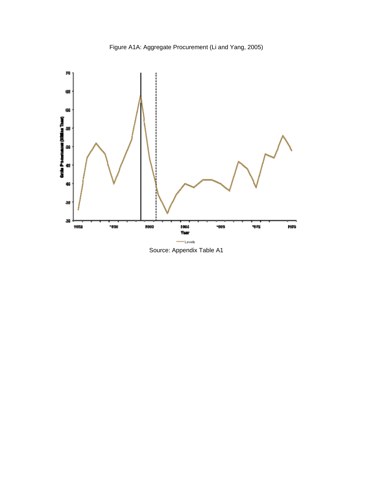



Source: Appendix Table A1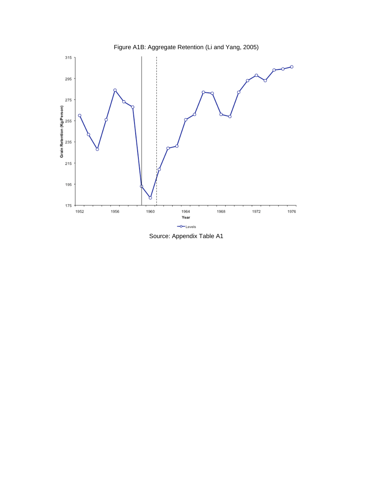

Source: Appendix Table A1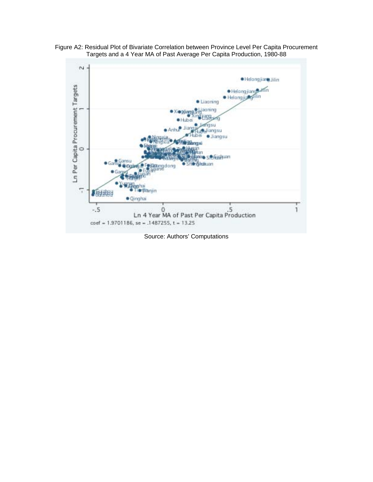



Source: Authors' Computations

coef = 1.9701186, se = .1487255, t = 13.25

 $-5$ 

5.<br>Ln 4 Year MA of Past Per Capita Production

 $\mathbf{1}$